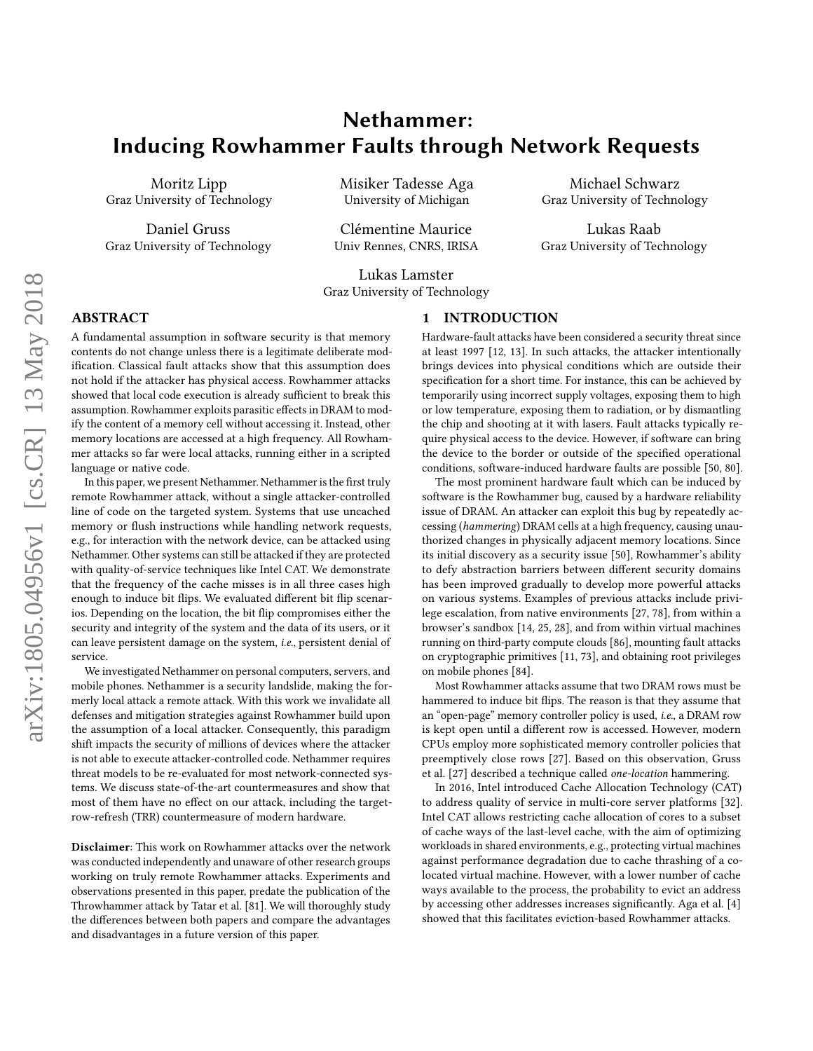# Nethammer: Inducing Rowhammer Faults through Network Requests

Moritz Lipp Graz University of Technology

Daniel Gruss Graz University of Technology Misiker Tadesse Aga University of Michigan

Clémentine Maurice Univ Rennes, CNRS, IRISA

Lukas Lamster Graz University of Technology

## ABSTRACT

A fundamental assumption in software security is that memory contents do not change unless there is a legitimate deliberate modification. Classical fault attacks show that this assumption does not hold if the attacker has physical access. Rowhammer attacks showed that local code execution is already sufficient to break this assumption. Rowhammer exploits parasitic effects in DRAM to modify the content of a memory cell without accessing it. Instead, other memory locations are accessed at a high frequency. All Rowhammer attacks so far were local attacks, running either in a scripted language or native code.

In this paper, we present Nethammer. Nethammer is the first truly remote Rowhammer attack, without a single attacker-controlled line of code on the targeted system. Systems that use uncached memory or flush instructions while handling network requests, e.g., for interaction with the network device, can be attacked using Nethammer. Other systems can still be attacked if they are protected with quality-of-service techniques like Intel CAT. We demonstrate that the frequency of the cache misses is in all three cases high enough to induce bit flips. We evaluated different bit flip scenarios. Depending on the location, the bit flip compromises either the security and integrity of the system and the data of its users, or it can leave persistent damage on the system, i.e., persistent denial of service.

We investigated Nethammer on personal computers, servers, and mobile phones. Nethammer is a security landslide, making the formerly local attack a remote attack. With this work we invalidate all defenses and mitigation strategies against Rowhammer build upon the assumption of a local attacker. Consequently, this paradigm shift impacts the security of millions of devices where the attacker is not able to execute attacker-controlled code. Nethammer requires threat models to be re-evaluated for most network-connected systems. We discuss state-of-the-art countermeasures and show that most of them have no effect on our attack, including the targetrow-refresh (TRR) countermeasure of modern hardware.

Disclaimer: This work on Rowhammer attacks over the network was conducted independently and unaware of other research groups working on truly remote Rowhammer attacks. Experiments and observations presented in this paper, predate the publication of the Throwhammer attack by [Tatar et al.](#page-13-0) [\[81\]](#page-13-0). We will thoroughly study the differences between both papers and compare the advantages and disadvantages in a future version of this paper.

#### 1 INTRODUCTION

Hardware-fault attacks have been considered a security threat since at least 1997 [\[12,](#page-12-0) [13\]](#page-12-1). In such attacks, the attacker intentionally brings devices into physical conditions which are outside their specification for a short time. For instance, this can be achieved by temporarily using incorrect supply voltages, exposing them to high or low temperature, exposing them to radiation, or by dismantling the chip and shooting at it with lasers. Fault attacks typically require physical access to the device. However, if software can bring the device to the border or outside of the specified operational conditions, software-induced hardware faults are possible [\[50,](#page-13-1) [80\]](#page-13-2).

Michael Schwarz Graz University of Technology

Lukas Raab Graz University of Technology

The most prominent hardware fault which can be induced by software is the Rowhammer bug, caused by a hardware reliability issue of DRAM. An attacker can exploit this bug by repeatedly accessing (hammering) DRAM cells at a high frequency, causing unauthorized changes in physically adjacent memory locations. Since its initial discovery as a security issue [\[50\]](#page-13-1), Rowhammer's ability to defy abstraction barriers between different security domains has been improved gradually to develop more powerful attacks on various systems. Examples of previous attacks include privilege escalation, from native environments [\[27,](#page-12-2) [78\]](#page-13-3), from within a browser's sandbox [\[14,](#page-12-3) [25,](#page-12-4) [28\]](#page-12-5), and from within virtual machines running on third-party compute clouds [\[86\]](#page-13-4), mounting fault attacks on cryptographic primitives [\[11,](#page-12-6) [73\]](#page-13-5), and obtaining root privileges on mobile phones [\[84\]](#page-13-6).

Most Rowhammer attacks assume that two DRAM rows must be hammered to induce bit flips. The reason is that they assume that an "open-page" memory controller policy is used, i.e., a DRAM row is kept open until a different row is accessed. However, modern CPUs employ more sophisticated memory controller policies that preemptively close rows [\[27\]](#page-12-2). Based on this observation, [Gruss](#page-12-2) [et al.](#page-12-2) [\[27\]](#page-12-2) described a technique called one-location hammering.

In 2016, Intel introduced Cache Allocation Technology (CAT) to address quality of service in multi-core server platforms [\[32\]](#page-12-7). Intel CAT allows restricting cache allocation of cores to a subset of cache ways of the last-level cache, with the aim of optimizing workloads in shared environments, e.g., protecting virtual machines against performance degradation due to cache thrashing of a colocated virtual machine. However, with a lower number of cache ways available to the process, the probability to evict an address by accessing other addresses increases significantly. [Aga et al.](#page-12-8) [\[4\]](#page-12-8) showed that this facilitates eviction-based Rowhammer attacks.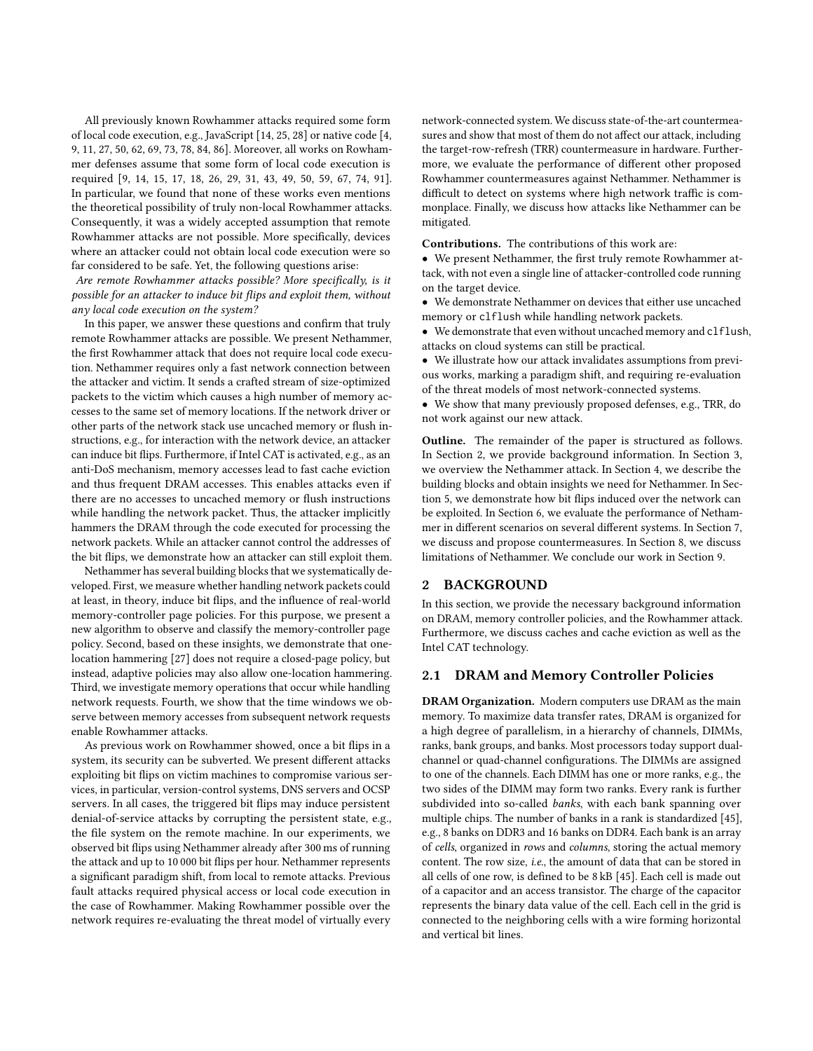All previously known Rowhammer attacks required some form of local code execution, e.g., JavaScript [\[14,](#page-12-3) [25,](#page-12-4) [28\]](#page-12-5) or native code [\[4,](#page-12-8) [9,](#page-12-9) [11,](#page-12-6) [27,](#page-12-2) [50,](#page-13-1) [62,](#page-13-7) [69,](#page-13-8) [73,](#page-13-5) [78,](#page-13-3) [84,](#page-13-6) [86\]](#page-13-4). Moreover, all works on Rowhammer defenses assume that some form of local code execution is required [\[9,](#page-12-9) [14,](#page-12-3) [15,](#page-12-10) [17,](#page-12-11) [18,](#page-12-12) [26,](#page-12-13) [29,](#page-12-14) [31,](#page-12-15) [43,](#page-12-16) [49,](#page-13-9) [50,](#page-13-1) [59,](#page-13-10) [67,](#page-13-11) [74,](#page-13-12) [91\]](#page-13-13). In particular, we found that none of these works even mentions the theoretical possibility of truly non-local Rowhammer attacks. Consequently, it was a widely accepted assumption that remote Rowhammer attacks are not possible. More specifically, devices where an attacker could not obtain local code execution were so far considered to be safe. Yet, the following questions arise:

Are remote Rowhammer attacks possible? More specifically, is it possible for an attacker to induce bit flips and exploit them, without any local code execution on the system?

In this paper, we answer these questions and confirm that truly remote Rowhammer attacks are possible. We present Nethammer, the first Rowhammer attack that does not require local code execution. Nethammer requires only a fast network connection between the attacker and victim. It sends a crafted stream of size-optimized packets to the victim which causes a high number of memory accesses to the same set of memory locations. If the network driver or other parts of the network stack use uncached memory or flush instructions, e.g., for interaction with the network device, an attacker can induce bit flips. Furthermore, if Intel CAT is activated, e.g., as an anti-DoS mechanism, memory accesses lead to fast cache eviction and thus frequent DRAM accesses. This enables attacks even if there are no accesses to uncached memory or flush instructions while handling the network packet. Thus, the attacker implicitly hammers the DRAM through the code executed for processing the network packets. While an attacker cannot control the addresses of the bit flips, we demonstrate how an attacker can still exploit them.

Nethammer has several building blocks that we systematically developed. First, we measure whether handling network packets could at least, in theory, induce bit flips, and the influence of real-world memory-controller page policies. For this purpose, we present a new algorithm to observe and classify the memory-controller page policy. Second, based on these insights, we demonstrate that onelocation hammering [\[27\]](#page-12-2) does not require a closed-page policy, but instead, adaptive policies may also allow one-location hammering. Third, we investigate memory operations that occur while handling network requests. Fourth, we show that the time windows we observe between memory accesses from subsequent network requests enable Rowhammer attacks.

As previous work on Rowhammer showed, once a bit flips in a system, its security can be subverted. We present different attacks exploiting bit flips on victim machines to compromise various services, in particular, version-control systems, DNS servers and OCSP servers. In all cases, the triggered bit flips may induce persistent denial-of-service attacks by corrupting the persistent state, e.g., the file system on the remote machine. In our experiments, we observed bit flips using Nethammer already after 300 ms of running the attack and up to 10 000 bit flips per hour. Nethammer represents a significant paradigm shift, from local to remote attacks. Previous fault attacks required physical access or local code execution in the case of Rowhammer. Making Rowhammer possible over the network requires re-evaluating the threat model of virtually every

network-connected system. We discuss state-of-the-art countermeasures and show that most of them do not affect our attack, including the target-row-refresh (TRR) countermeasure in hardware. Furthermore, we evaluate the performance of different other proposed Rowhammer countermeasures against Nethammer. Nethammer is difficult to detect on systems where high network traffic is commonplace. Finally, we discuss how attacks like Nethammer can be mitigated.

Contributions. The contributions of this work are:

• We present Nethammer, the first truly remote Rowhammer attack, with not even a single line of attacker-controlled code running on the target device.

• We demonstrate Nethammer on devices that either use uncached memory or clflush while handling network packets.

• We demonstrate that even without uncached memory and clflush, attacks on cloud systems can still be practical.

• We illustrate how our attack invalidates assumptions from previous works, marking a paradigm shift, and requiring re-evaluation of the threat models of most network-connected systems.

• We show that many previously proposed defenses, e.g., TRR, do not work against our new attack.

Outline. The remainder of the paper is structured as follows. In Section [2,](#page-1-0) we provide background information. In Section [3,](#page-4-0) we overview the Nethammer attack. In Section [4,](#page-4-1) we describe the building blocks and obtain insights we need for Nethammer. In Section [5,](#page-6-0) we demonstrate how bit flips induced over the network can be exploited. In Section [6,](#page-8-0) we evaluate the performance of Nethammer in different scenarios on several different systems. In Section [7,](#page-10-0) we discuss and propose countermeasures. In Section [8,](#page-11-0) we discuss limitations of Nethammer. We conclude our work in Section [9.](#page-11-1)

## <span id="page-1-0"></span>2 BACKGROUND

In this section, we provide the necessary background information on DRAM, memory controller policies, and the Rowhammer attack. Furthermore, we discuss caches and cache eviction as well as the Intel CAT technology.

#### 2.1 DRAM and Memory Controller Policies

DRAM Organization. Modern computers use DRAM as the main memory. To maximize data transfer rates, DRAM is organized for a high degree of parallelism, in a hierarchy of channels, DIMMs, ranks, bank groups, and banks. Most processors today support dualchannel or quad-channel configurations. The DIMMs are assigned to one of the channels. Each DIMM has one or more ranks, e.g., the two sides of the DIMM may form two ranks. Every rank is further subdivided into so-called banks, with each bank spanning over multiple chips. The number of banks in a rank is standardized [\[45\]](#page-12-17), e.g., 8 banks on DDR3 and 16 banks on DDR4. Each bank is an array of cells, organized in rows and columns, storing the actual memory content. The row size, i.e., the amount of data that can be stored in all cells of one row, is defined to be 8 kB [\[45\]](#page-12-17). Each cell is made out of a capacitor and an access transistor. The charge of the capacitor represents the binary data value of the cell. Each cell in the grid is connected to the neighboring cells with a wire forming horizontal and vertical bit lines.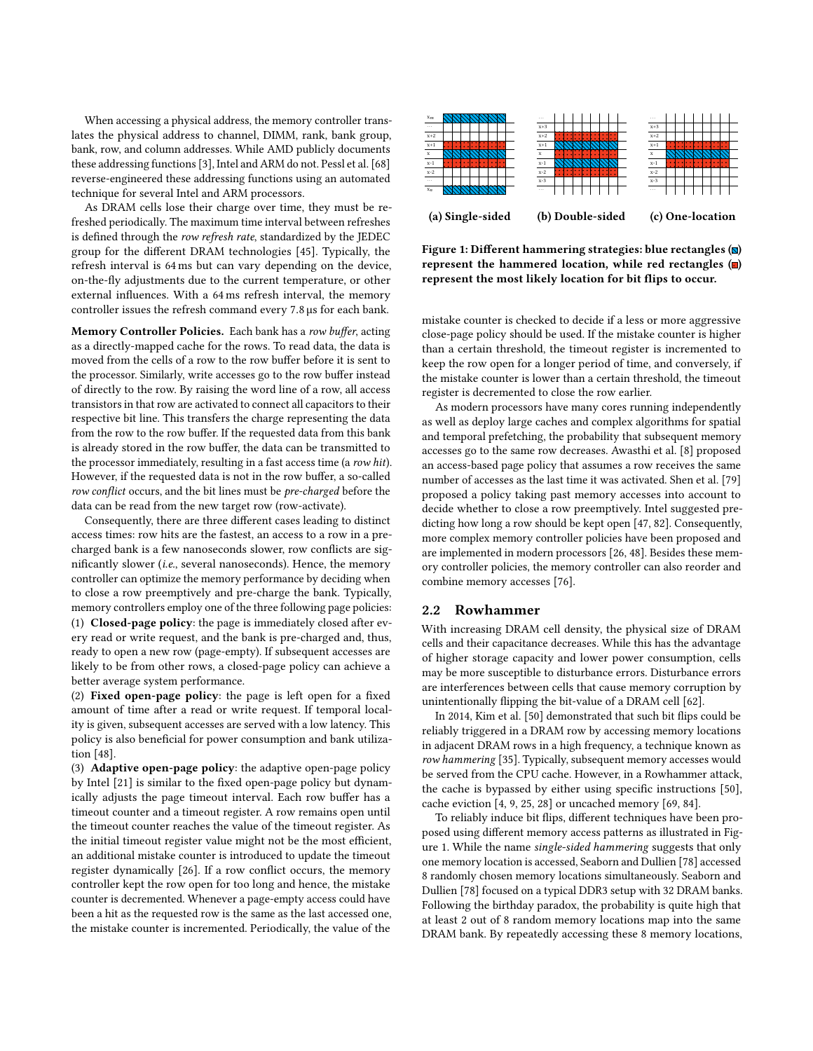When accessing a physical address, the memory controller translates the physical address to channel, DIMM, rank, bank group, bank, row, and column addresses. While AMD publicly documents these addressing functions [\[3\]](#page-12-18), Intel and ARM do not. Pessl et al. [68] reverse-engineered these addressing functions using an automated technique for several Intel and ARM processors.

As DRAM cells lose their charge over time, they must be refreshed periodically. The maximum time interval between refreshes is defined through the row refresh rate, standardized by the JEDEC group for the different DRAM technologies [\[45\]](#page-12-17). Typically, the refresh interval is 64 ms but can vary depending on the device, on-the-fly adjustments due to the current temperature, or other external influences. With a 64 ms refresh interval, the memory controller issues the refresh command every <sup>7</sup>.<sup>8</sup> µs for each bank.

Memory Controller Policies. Each bank has a row buffer, acting as a directly-mapped cache for the rows. To read data, the data is moved from the cells of a row to the row buffer before it is sent to the processor. Similarly, write accesses go to the row buffer instead of directly to the row. By raising the word line of a row, all access transistors in that row are activated to connect all capacitors to their respective bit line. This transfers the charge representing the data from the row to the row buffer. If the requested data from this bank is already stored in the row buffer, the data can be transmitted to the processor immediately, resulting in a fast access time (a row hit). However, if the requested data is not in the row buffer, a so-called row conflict occurs, and the bit lines must be pre-charged before the data can be read from the new target row (row-activate).

Consequently, there are three different cases leading to distinct access times: row hits are the fastest, an access to a row in a precharged bank is a few nanoseconds slower, row conflicts are significantly slower (i.e., several nanoseconds). Hence, the memory controller can optimize the memory performance by deciding when to close a row preemptively and pre-charge the bank. Typically, memory controllers employ one of the three following page policies: (1) Closed-page policy: the page is immediately closed after every read or write request, and the bank is pre-charged and, thus, ready to open a new row (page-empty). If subsequent accesses are likely to be from other rows, a closed-page policy can achieve a better average system performance.

(2) Fixed open-page policy: the page is left open for a fixed amount of time after a read or write request. If temporal locality is given, subsequent accesses are served with a low latency. This policy is also beneficial for power consumption and bank utilization [\[48\]](#page-13-15).

(3) Adaptive open-page policy: the adaptive open-page policy by Intel [\[21\]](#page-12-19) is similar to the fixed open-page policy but dynamically adjusts the page timeout interval. Each row buffer has a timeout counter and a timeout register. A row remains open until the timeout counter reaches the value of the timeout register. As the initial timeout register value might not be the most efficient, an additional mistake counter is introduced to update the timeout register dynamically [\[26\]](#page-12-13). If a row conflict occurs, the memory controller kept the row open for too long and hence, the mistake counter is decremented. Whenever a page-empty access could have been a hit as the requested row is the same as the last accessed one, the mistake counter is incremented. Periodically, the value of the

<span id="page-2-0"></span>

Figure 1: Different hammering strategies: blue rectangles  $(\mathbf{N})$ represent the hammered location, while red rectangles  $\Box$ represent the most likely location for bit flips to occur.

mistake counter is checked to decide if a less or more aggressive close-page policy should be used. If the mistake counter is higher than a certain threshold, the timeout register is incremented to keep the row open for a longer period of time, and conversely, if the mistake counter is lower than a certain threshold, the timeout register is decremented to close the row earlier.

As modern processors have many cores running independently as well as deploy large caches and complex algorithms for spatial and temporal prefetching, the probability that subsequent memory accesses go to the same row decreases. [Awasthi et al.](#page-12-20) [\[8\]](#page-12-20) proposed an access-based page policy that assumes a row receives the same number of accesses as the last time it was activated. [Shen et al.](#page-13-16) [\[79\]](#page-13-16) proposed a policy taking past memory accesses into account to decide whether to close a row preemptively. Intel suggested predicting how long a row should be kept open [\[47,](#page-13-17) [82\]](#page-13-18). Consequently, more complex memory controller policies have been proposed and are implemented in modern processors [\[26,](#page-12-13) [48\]](#page-13-15). Besides these memory controller policies, the memory controller can also reorder and combine memory accesses [\[76\]](#page-13-19).

#### <span id="page-2-1"></span>2.2 Rowhammer

With increasing DRAM cell density, the physical size of DRAM cells and their capacitance decreases. While this has the advantage of higher storage capacity and lower power consumption, cells may be more susceptible to disturbance errors. Disturbance errors are interferences between cells that cause memory corruption by unintentionally flipping the bit-value of a DRAM cell [\[62\]](#page-13-7).

In 2014, [Kim et al.](#page-13-1) [\[50\]](#page-13-1) demonstrated that such bit flips could be reliably triggered in a DRAM row by accessing memory locations in adjacent DRAM rows in a high frequency, a technique known as row hammering [\[35\]](#page-12-21). Typically, subsequent memory accesses would be served from the CPU cache. However, in a Rowhammer attack, the cache is bypassed by either using specific instructions [\[50\]](#page-13-1), cache eviction [\[4,](#page-12-8) [9,](#page-12-9) [25,](#page-12-4) [28\]](#page-12-5) or uncached memory [\[69,](#page-13-8) [84\]](#page-13-6).

To reliably induce bit flips, different techniques have been proposed using different memory access patterns as illustrated in Figure [1.](#page-2-0) While the name single-sided hammering suggests that only one memory location is accessed, [Seaborn and Dullien](#page-13-3) [\[78\]](#page-13-3) accessed 8 randomly chosen memory locations simultaneously. [Seaborn and](#page-13-3) [Dullien](#page-13-3) [\[78\]](#page-13-3) focused on a typical DDR3 setup with 32 DRAM banks. Following the birthday paradox, the probability is quite high that at least 2 out of 8 random memory locations map into the same DRAM bank. By repeatedly accessing these 8 memory locations,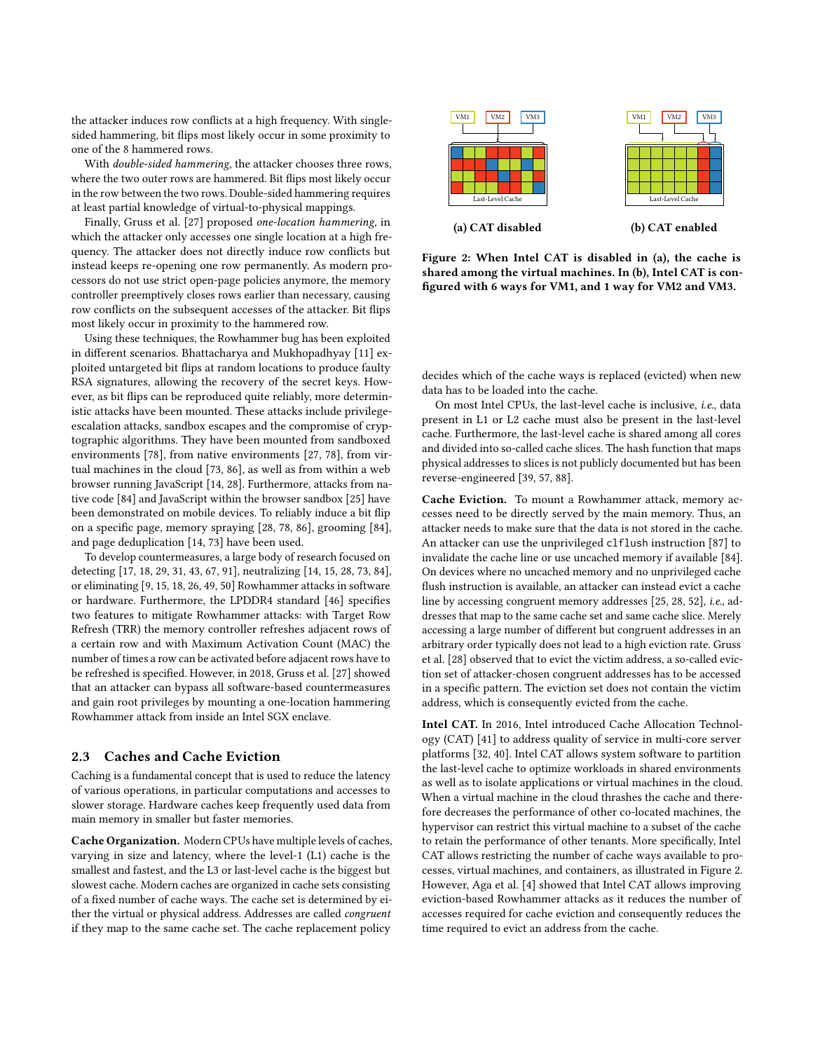the attacker induces row conflicts at a high frequency. With singlesided hammering, bit flips most likely occur in some proximity to one of the 8 hammered rows.

With double-sided hammering, the attacker chooses three rows, where the two outer rows are hammered. Bit flips most likely occur in the row between the two rows. Double-sided hammering requires at least partial knowledge of virtual-to-physical mappings.

Finally, [Gruss et al.](#page-12-2) [\[27\]](#page-12-2) proposed one-location hammering, in which the attacker only accesses one single location at a high frequency. The attacker does not directly induce row conflicts but instead keeps re-opening one row permanently. As modern processors do not use strict open-page policies anymore, the memory controller preemptively closes rows earlier than necessary, causing row conflicts on the subsequent accesses of the attacker. Bit flips most likely occur in proximity to the hammered row.

Using these techniques, the Rowhammer bug has been exploited in different scenarios. [Bhattacharya and Mukhopadhyay](#page-12-6) [\[11\]](#page-12-6) exploited untargeted bit flips at random locations to produce faulty RSA signatures, allowing the recovery of the secret keys. However, as bit flips can be reproduced quite reliably, more deterministic attacks have been mounted. These attacks include privilegeescalation attacks, sandbox escapes and the compromise of cryptographic algorithms. They have been mounted from sandboxed environments [\[78\]](#page-13-3), from native environments [\[27,](#page-12-2) [78\]](#page-13-3), from virtual machines in the cloud [\[73,](#page-13-5) [86\]](#page-13-4), as well as from within a web browser running JavaScript [\[14,](#page-12-3) [28\]](#page-12-5). Furthermore, attacks from native code [\[84\]](#page-13-6) and JavaScript within the browser sandbox [\[25\]](#page-12-4) have been demonstrated on mobile devices. To reliably induce a bit flip on a specific page, memory spraying [\[28,](#page-12-5) [78,](#page-13-3) [86\]](#page-13-4), grooming [\[84\]](#page-13-6), and page deduplication [\[14,](#page-12-3) [73\]](#page-13-5) have been used.

To develop countermeasures, a large body of research focused on detecting [\[17,](#page-12-11) [18,](#page-12-12) [29,](#page-12-14) [31,](#page-12-15) [43,](#page-12-16) [67,](#page-13-11) [91\]](#page-13-13), neutralizing [\[14,](#page-12-3) [15,](#page-12-10) [28,](#page-12-5) [73,](#page-13-5) [84\]](#page-13-6), or eliminating [\[9,](#page-12-9) [15,](#page-12-10) [18,](#page-12-12) [26,](#page-12-13) [49,](#page-13-9) [50\]](#page-13-1) Rowhammer attacks in software or hardware. Furthermore, the LPDDR4 standard [\[46\]](#page-13-20) specifies two features to mitigate Rowhammer attacks: with Target Row Refresh (TRR) the memory controller refreshes adjacent rows of a certain row and with Maximum Activation Count (MAC) the number of times a row can be activated before adjacent rows have to be refreshed is specified. However, in 2018, Gruss et al. [\[27\]](#page-12-2) showed that an attacker can bypass all software-based countermeasures and gain root privileges by mounting a one-location hammering Rowhammer attack from inside an Intel SGX enclave.

#### 2.3 Caches and Cache Eviction

Caching is a fundamental concept that is used to reduce the latency of various operations, in particular computations and accesses to slower storage. Hardware caches keep frequently used data from main memory in smaller but faster memories.

Cache Organization. Modern CPUs have multiple levels of caches, varying in size and latency, where the level-1 (L1) cache is the smallest and fastest, and the L3 or last-level cache is the biggest but slowest cache. Modern caches are organized in cache sets consisting of a fixed number of cache ways. The cache set is determined by either the virtual or physical address. Addresses are called congruent if they map to the same cache set. The cache replacement policy

<span id="page-3-0"></span>

Figure 2: When Intel CAT is disabled in [\(a\)](#page-3-0), the cache is shared among the virtual machines. In [\(b\)](#page-3-0), Intel CAT is configured with 6 ways for VM1, and 1 way for VM2 and VM3.

decides which of the cache ways is replaced (evicted) when new data has to be loaded into the cache.

On most Intel CPUs, the last-level cache is inclusive, i.e., data present in L1 or L2 cache must also be present in the last-level cache. Furthermore, the last-level cache is shared among all cores and divided into so-called cache slices. The hash function that maps physical addresses to slices is not publicly documented but has been reverse-engineered [\[39,](#page-12-22) [57,](#page-13-21) [88\]](#page-13-22).

Cache Eviction. To mount a Rowhammer attack, memory accesses need to be directly served by the main memory. Thus, an attacker needs to make sure that the data is not stored in the cache. An attacker can use the unprivileged clflush instruction [\[87\]](#page-13-23) to invalidate the cache line or use uncached memory if available [\[84\]](#page-13-6). On devices where no uncached memory and no unprivileged cache flush instruction is available, an attacker can instead evict a cache line by accessing congruent memory addresses [\[25,](#page-12-4) [28,](#page-12-5) [52\]](#page-13-24), i.e., addresses that map to the same cache set and same cache slice. Merely accessing a large number of different but congruent addresses in an arbitrary order typically does not lead to a high eviction rate. [Gruss](#page-12-5) [et al.](#page-12-5) [\[28\]](#page-12-5) observed that to evict the victim address, a so-called eviction set of attacker-chosen congruent addresses has to be accessed in a specific pattern. The eviction set does not contain the victim address, which is consequently evicted from the cache.

Intel CAT. In 2016, Intel introduced Cache Allocation Technology (CAT) [\[41\]](#page-12-23) to address quality of service in multi-core server platforms [\[32,](#page-12-7) [40\]](#page-12-24). Intel CAT allows system software to partition the last-level cache to optimize workloads in shared environments as well as to isolate applications or virtual machines in the cloud. When a virtual machine in the cloud thrashes the cache and therefore decreases the performance of other co-located machines, the hypervisor can restrict this virtual machine to a subset of the cache to retain the performance of other tenants. More specifically, Intel CAT allows restricting the number of cache ways available to processes, virtual machines, and containers, as illustrated in Figure [2.](#page-3-0) However, [Aga et al.](#page-12-8) [\[4\]](#page-12-8) showed that Intel CAT allows improving eviction-based Rowhammer attacks as it reduces the number of accesses required for cache eviction and consequently reduces the time required to evict an address from the cache.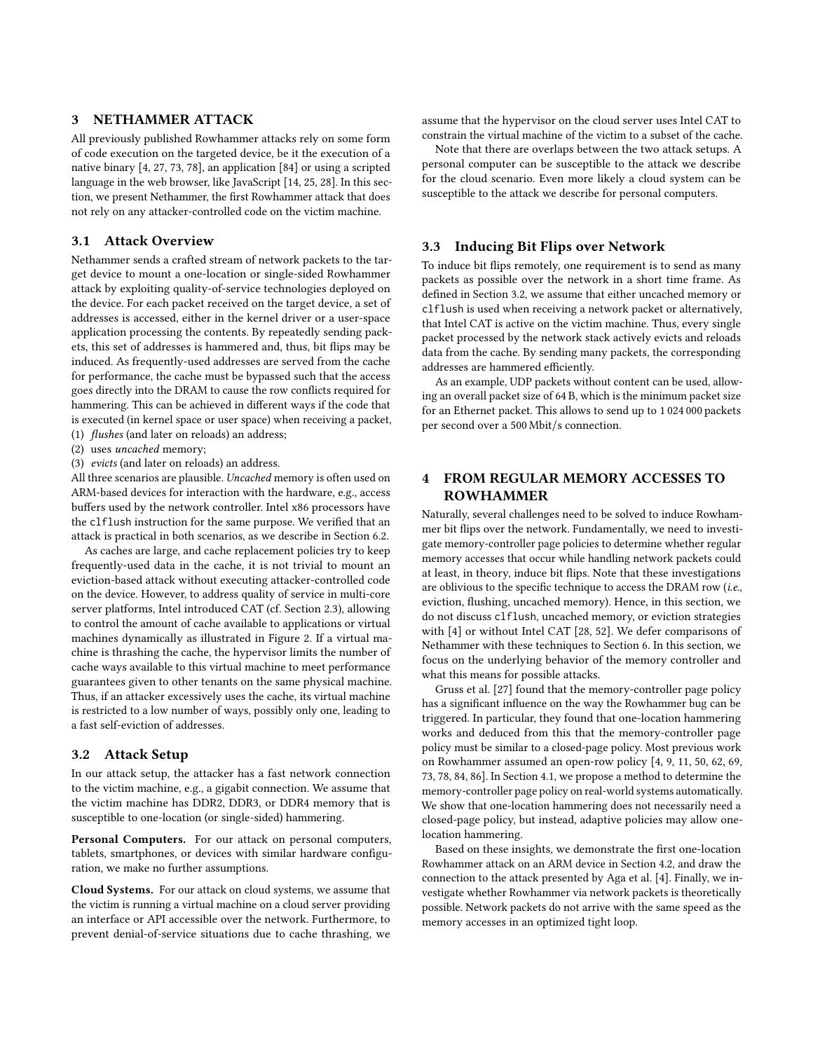# <span id="page-4-0"></span>3 NETHAMMER ATTACK

All previously published Rowhammer attacks rely on some form of code execution on the targeted device, be it the execution of a native binary [\[4,](#page-12-8) [27,](#page-12-2) [73,](#page-13-5) [78\]](#page-13-3), an application [\[84\]](#page-13-6) or using a scripted language in the web browser, like JavaScript [\[14,](#page-12-3) [25,](#page-12-4) [28\]](#page-12-5). In this section, we present Nethammer, the first Rowhammer attack that does not rely on any attacker-controlled code on the victim machine.

## <span id="page-4-3"></span>3.1 Attack Overview

Nethammer sends a crafted stream of network packets to the target device to mount a one-location or single-sided Rowhammer attack by exploiting quality-of-service technologies deployed on the device. For each packet received on the target device, a set of addresses is accessed, either in the kernel driver or a user-space application processing the contents. By repeatedly sending packets, this set of addresses is hammered and, thus, bit flips may be induced. As frequently-used addresses are served from the cache for performance, the cache must be bypassed such that the access goes directly into the DRAM to cause the row conflicts required for hammering. This can be achieved in different ways if the code that is executed (in kernel space or user space) when receiving a packet, (1) flushes (and later on reloads) an address;

- (2) uses uncached memory;
- (3) evicts (and later on reloads) an address.

All three scenarios are plausible. Uncached memory is often used on ARM-based devices for interaction with the hardware, e.g., access buffers used by the network controller. Intel x86 processors have the clflush instruction for the same purpose. We verified that an attack is practical in both scenarios, as we describe in Section [6.2.](#page-8-1)

As caches are large, and cache replacement policies try to keep frequently-used data in the cache, it is not trivial to mount an eviction-based attack without executing attacker-controlled code on the device. However, to address quality of service in multi-core server platforms, Intel introduced CAT (cf. Section [2.3\)](#page-3-0), allowing to control the amount of cache available to applications or virtual machines dynamically as illustrated in Figure [2.](#page-3-0) If a virtual machine is thrashing the cache, the hypervisor limits the number of cache ways available to this virtual machine to meet performance guarantees given to other tenants on the same physical machine. Thus, if an attacker excessively uses the cache, its virtual machine is restricted to a low number of ways, possibly only one, leading to a fast self-eviction of addresses.

# <span id="page-4-2"></span>3.2 Attack Setup

In our attack setup, the attacker has a fast network connection to the victim machine, e.g., a gigabit connection. We assume that the victim machine has DDR2, DDR3, or DDR4 memory that is susceptible to one-location (or single-sided) hammering.

Personal Computers. For our attack on personal computers, tablets, smartphones, or devices with similar hardware configuration, we make no further assumptions.

Cloud Systems. For our attack on cloud systems, we assume that the victim is running a virtual machine on a cloud server providing an interface or API accessible over the network. Furthermore, to prevent denial-of-service situations due to cache thrashing, we assume that the hypervisor on the cloud server uses Intel CAT to constrain the virtual machine of the victim to a subset of the cache.

Note that there are overlaps between the two attack setups. A personal computer can be susceptible to the attack we describe for the cloud scenario. Even more likely a cloud system can be susceptible to the attack we describe for personal computers.

#### 3.3 Inducing Bit Flips over Network

To induce bit flips remotely, one requirement is to send as many packets as possible over the network in a short time frame. As defined in Section [3.2,](#page-4-2) we assume that either uncached memory or clflush is used when receiving a network packet or alternatively, that Intel CAT is active on the victim machine. Thus, every single packet processed by the network stack actively evicts and reloads data from the cache. By sending many packets, the corresponding addresses are hammered efficiently.

As an example, UDP packets without content can be used, allowing an overall packet size of 64 B, which is the minimum packet size for an Ethernet packet. This allows to send up to 1 024 000 packets per second over a 500 Mbit/s connection.

# <span id="page-4-1"></span>4 FROM REGULAR MEMORY ACCESSES TO ROWHAMMER

Naturally, several challenges need to be solved to induce Rowhammer bit flips over the network. Fundamentally, we need to investigate memory-controller page policies to determine whether regular memory accesses that occur while handling network packets could at least, in theory, induce bit flips. Note that these investigations are oblivious to the specific technique to access the DRAM row (i.e., eviction, flushing, uncached memory). Hence, in this section, we do not discuss clflush, uncached memory, or eviction strategies with [\[4\]](#page-12-8) or without Intel CAT [\[28,](#page-12-5) [52\]](#page-13-24). We defer comparisons of Nethammer with these techniques to Section [6.](#page-8-0) In this section, we focus on the underlying behavior of the memory controller and what this means for possible attacks.

[Gruss et al.](#page-12-2) [\[27\]](#page-12-2) found that the memory-controller page policy has a significant influence on the way the Rowhammer bug can be triggered. In particular, they found that one-location hammering works and deduced from this that the memory-controller page policy must be similar to a closed-page policy. Most previous work on Rowhammer assumed an open-row policy [\[4,](#page-12-8) [9,](#page-12-9) [11,](#page-12-6) [50,](#page-13-1) [62,](#page-13-7) [69,](#page-13-8) [73,](#page-13-5) [78,](#page-13-3) [84,](#page-13-6) [86\]](#page-13-4). In Section [4.1,](#page-5-0) we propose a method to determine the memory-controller page policy on real-world systems automatically. We show that one-location hammering does not necessarily need a closed-page policy, but instead, adaptive policies may allow onelocation hammering.

Based on these insights, we demonstrate the first one-location Rowhammer attack on an ARM device in Section [4.2,](#page-6-1) and draw the connection to the attack presented by [Aga et al.](#page-12-8) [\[4\]](#page-12-8). Finally, we investigate whether Rowhammer via network packets is theoretically possible. Network packets do not arrive with the same speed as the memory accesses in an optimized tight loop.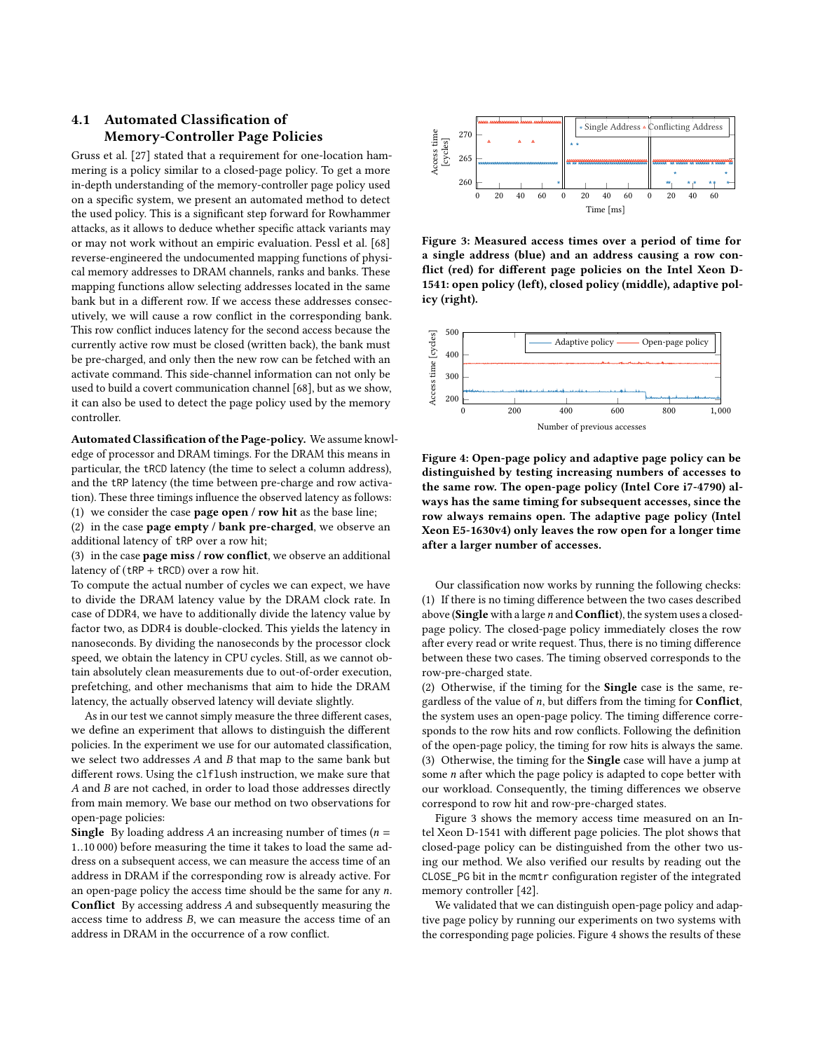# <span id="page-5-0"></span>4.1 Automated Classification of Memory-Controller Page Policies

[Gruss et al.](#page-12-2) [\[27\]](#page-12-2) stated that a requirement for one-location hammering is a policy similar to a closed-page policy. To get a more in-depth understanding of the memory-controller page policy used on a specific system, we present an automated method to detect the used policy. This is a significant step forward for Rowhammer attacks, as it allows to deduce whether specific attack variants may or may not work without an empiric evaluation. [Pessl et al.](#page-13-14) [\[68\]](#page-13-14) reverse-engineered the undocumented mapping functions of physical memory addresses to DRAM channels, ranks and banks. These mapping functions allow selecting addresses located in the same bank but in a different row. If we access these addresses consecutively, we will cause a row conflict in the corresponding bank. This row conflict induces latency for the second access because the currently active row must be closed (written back), the bank must be pre-charged, and only then the new row can be fetched with an activate command. This side-channel information can not only be used to build a covert communication channel [\[68\]](#page-13-14), but as we show, it can also be used to detect the page policy used by the memory controller.

Automated Classification of the Page-policy. We assume knowledge of processor and DRAM timings. For the DRAM this means in particular, the tRCD latency (the time to select a column address), and the tRP latency (the time between pre-charge and row activation). These three timings influence the observed latency as follows: (1) we consider the case page open / row hit as the base line;

(2) in the case page empty / bank pre-charged, we observe an additional latency of tRP over a row hit;

(3) in the case **page miss / row conflict**, we observe an additional latency of (tRP + tRCD) over a row hit.

To compute the actual number of cycles we can expect, we have to divide the DRAM latency value by the DRAM clock rate. In case of DDR4, we have to additionally divide the latency value by factor two, as DDR4 is double-clocked. This yields the latency in nanoseconds. By dividing the nanoseconds by the processor clock speed, we obtain the latency in CPU cycles. Still, as we cannot obtain absolutely clean measurements due to out-of-order execution, prefetching, and other mechanisms that aim to hide the DRAM latency, the actually observed latency will deviate slightly.

As in our test we cannot simply measure the three different cases, we define an experiment that allows to distinguish the different policies. In the experiment we use for our automated classification, we select two addresses A and B that map to the same bank but different rows. Using the clflush instruction, we make sure that A and B are not cached, in order to load those addresses directly from main memory. We base our method on two observations for open-page policies:

**Single** By loading address A an increasing number of times ( $n =$ <sup>1</sup>..10 000) before measuring the time it takes to load the same address on a subsequent access, we can measure the access time of an address in DRAM if the corresponding row is already active. For an open-page policy the access time should be the same for any  $n$ . Conflict By accessing address A and subsequently measuring the access time to address B, we can measure the access time of an address in DRAM in the occurrence of a row conflict.

<span id="page-5-1"></span>

Figure 3: Measured access times over a period of time for a single address (blue) and an address causing a row conflict (red) for different page policies on the Intel Xeon D-1541: open policy (left), closed policy (middle), adaptive policy (right).

<span id="page-5-2"></span>

Figure 4: Open-page policy and adaptive page policy can be distinguished by testing increasing numbers of accesses to the same row. The open-page policy (Intel Core i7-4790) always has the same timing for subsequent accesses, since the row always remains open. The adaptive page policy (Intel Xeon E5-1630v4) only leaves the row open for a longer time after a larger number of accesses.

Our classification now works by running the following checks: (1) If there is no timing difference between the two cases described above (Single with a large n and Conflict), the system uses a closedpage policy. The closed-page policy immediately closes the row after every read or write request. Thus, there is no timing difference between these two cases. The timing observed corresponds to the row-pre-charged state.

(2) Otherwise, if the timing for the Single case is the same, regardless of the value of  $n$ , but differs from the timing for **Conflict**, the system uses an open-page policy. The timing difference corresponds to the row hits and row conflicts. Following the definition of the open-page policy, the timing for row hits is always the same. (3) Otherwise, the timing for the Single case will have a jump at some n after which the page policy is adapted to cope better with our workload. Consequently, the timing differences we observe correspond to row hit and row-pre-charged states.

Figure [3](#page-5-1) shows the memory access time measured on an Intel Xeon D-1541 with different page policies. The plot shows that closed-page policy can be distinguished from the other two using our method. We also verified our results by reading out the CLOSE\_PG bit in the mcmtr configuration register of the integrated memory controller [\[42\]](#page-12-25).

We validated that we can distinguish open-page policy and adaptive page policy by running our experiments on two systems with the corresponding page policies. Figure [4](#page-5-2) shows the results of these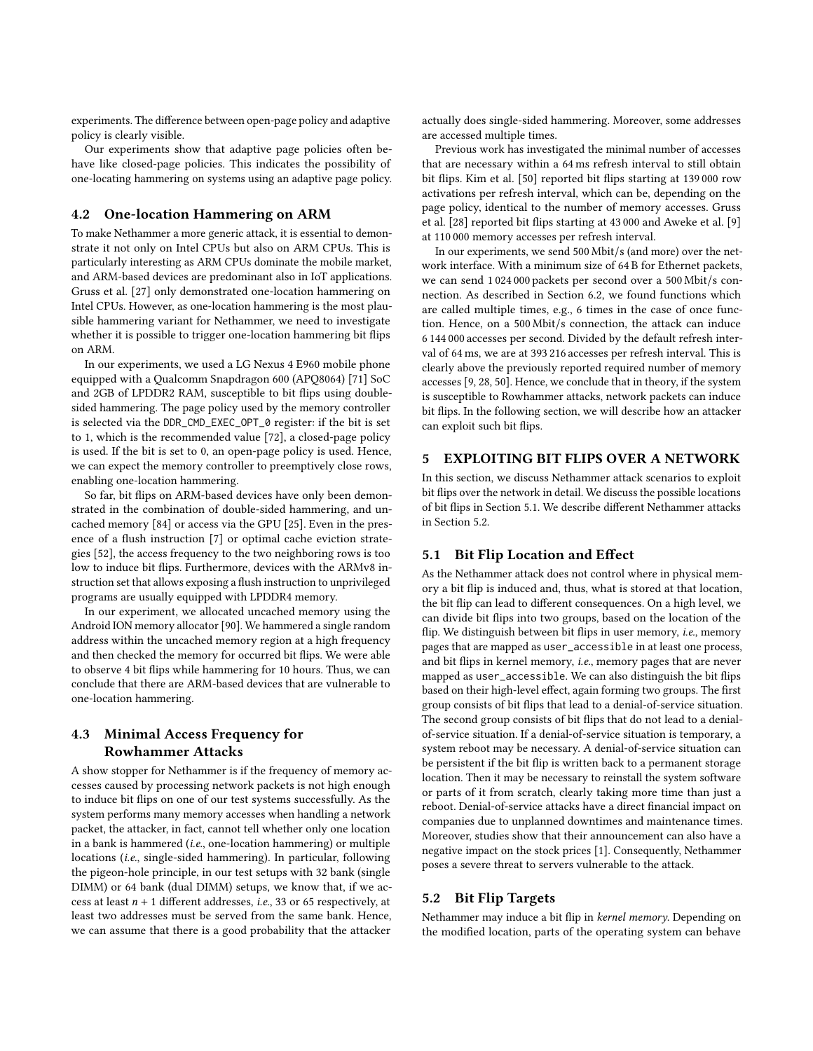experiments. The difference between open-page policy and adaptive policy is clearly visible.

Our experiments show that adaptive page policies often behave like closed-page policies. This indicates the possibility of one-locating hammering on systems using an adaptive page policy.

## <span id="page-6-1"></span>4.2 One-location Hammering on ARM

To make Nethammer a more generic attack, it is essential to demonstrate it not only on Intel CPUs but also on ARM CPUs. This is particularly interesting as ARM CPUs dominate the mobile market, and ARM-based devices are predominant also in IoT applications. [Gruss et al.](#page-12-2) [\[27\]](#page-12-2) only demonstrated one-location hammering on Intel CPUs. However, as one-location hammering is the most plausible hammering variant for Nethammer, we need to investigate whether it is possible to trigger one-location hammering bit flips on ARM.

In our experiments, we used a LG Nexus 4 E960 mobile phone equipped with a Qualcomm Snapdragon 600 (APQ8064) [\[71\]](#page-13-25) SoC and 2GB of LPDDR2 RAM, susceptible to bit flips using doublesided hammering. The page policy used by the memory controller is selected via the DDR\_CMD\_EXEC\_OPT\_0 register: if the bit is set to 1, which is the recommended value [\[72\]](#page-13-26), a closed-page policy is used. If the bit is set to 0, an open-page policy is used. Hence, we can expect the memory controller to preemptively close rows, enabling one-location hammering.

So far, bit flips on ARM-based devices have only been demonstrated in the combination of double-sided hammering, and uncached memory [\[84\]](#page-13-6) or access via the GPU [\[25\]](#page-12-4). Even in the presence of a flush instruction [\[7\]](#page-12-26) or optimal cache eviction strategies [\[52\]](#page-13-24), the access frequency to the two neighboring rows is too low to induce bit flips. Furthermore, devices with the ARMv8 instruction set that allows exposing a flush instruction to unprivileged programs are usually equipped with LPDDR4 memory.

In our experiment, we allocated uncached memory using the Android ION memory allocator [\[90\]](#page-13-27). We hammered a single random address within the uncached memory region at a high frequency and then checked the memory for occurred bit flips. We were able to observe 4 bit flips while hammering for 10 hours. Thus, we can conclude that there are ARM-based devices that are vulnerable to one-location hammering.

## 4.3 Minimal Access Frequency for Rowhammer Attacks

A show stopper for Nethammer is if the frequency of memory accesses caused by processing network packets is not high enough to induce bit flips on one of our test systems successfully. As the system performs many memory accesses when handling a network packet, the attacker, in fact, cannot tell whether only one location in a bank is hammered (i.e., one-location hammering) or multiple locations (i.e., single-sided hammering). In particular, following the pigeon-hole principle, in our test setups with 32 bank (single DIMM) or 64 bank (dual DIMM) setups, we know that, if we access at least  $n + 1$  different addresses, *i.e.*, 33 or 65 respectively, at least two addresses must be served from the same bank. Hence, we can assume that there is a good probability that the attacker

actually does single-sided hammering. Moreover, some addresses are accessed multiple times.

Previous work has investigated the minimal number of accesses that are necessary within a 64 ms refresh interval to still obtain bit flips. [Kim et al.](#page-13-1) [\[50\]](#page-13-1) reported bit flips starting at 139 000 row activations per refresh interval, which can be, depending on the page policy, identical to the number of memory accesses. [Gruss](#page-12-5) [et al.](#page-12-5) [\[28\]](#page-12-5) reported bit flips starting at 43 000 and [Aweke et al.](#page-12-9) [\[9\]](#page-12-9) at 110 000 memory accesses per refresh interval.

In our experiments, we send 500 Mbit/s (and more) over the network interface. With a minimum size of 64 B for Ethernet packets, we can send 1 024 000 packets per second over a 500 Mbit/s connection. As described in Section [6.2,](#page-8-1) we found functions which are called multiple times, e.g., 6 times in the case of once function. Hence, on a 500 Mbit/s connection, the attack can induce 6 144 000 accesses per second. Divided by the default refresh interval of 64 ms, we are at 393 216 accesses per refresh interval. This is clearly above the previously reported required number of memory accesses [\[9,](#page-12-9) [28,](#page-12-5) [50\]](#page-13-1). Hence, we conclude that in theory, if the system is susceptible to Rowhammer attacks, network packets can induce bit flips. In the following section, we will describe how an attacker can exploit such bit flips.

# <span id="page-6-0"></span>5 EXPLOITING BIT FLIPS OVER A NETWORK

In this section, we discuss Nethammer attack scenarios to exploit bit flips over the network in detail. We discuss the possible locations of bit flips in Section [5.1.](#page-6-2) We describe different Nethammer attacks in Section [5.2.](#page-6-3)

## <span id="page-6-2"></span>5.1 Bit Flip Location and Effect

As the Nethammer attack does not control where in physical memory a bit flip is induced and, thus, what is stored at that location, the bit flip can lead to different consequences. On a high level, we can divide bit flips into two groups, based on the location of the flip. We distinguish between bit flips in user memory, i.e., memory pages that are mapped as user\_accessible in at least one process, and bit flips in kernel memory, i.e., memory pages that are never mapped as user\_accessible. We can also distinguish the bit flips based on their high-level effect, again forming two groups. The first group consists of bit flips that lead to a denial-of-service situation. The second group consists of bit flips that do not lead to a denialof-service situation. If a denial-of-service situation is temporary, a system reboot may be necessary. A denial-of-service situation can be persistent if the bit flip is written back to a permanent storage location. Then it may be necessary to reinstall the system software or parts of it from scratch, clearly taking more time than just a reboot. Denial-of-service attacks have a direct financial impact on companies due to unplanned downtimes and maintenance times. Moreover, studies show that their announcement can also have a negative impact on the stock prices [\[1\]](#page-12-27). Consequently, Nethammer poses a severe threat to servers vulnerable to the attack.

## <span id="page-6-3"></span>5.2 Bit Flip Targets

Nethammer may induce a bit flip in kernel memory. Depending on the modified location, parts of the operating system can behave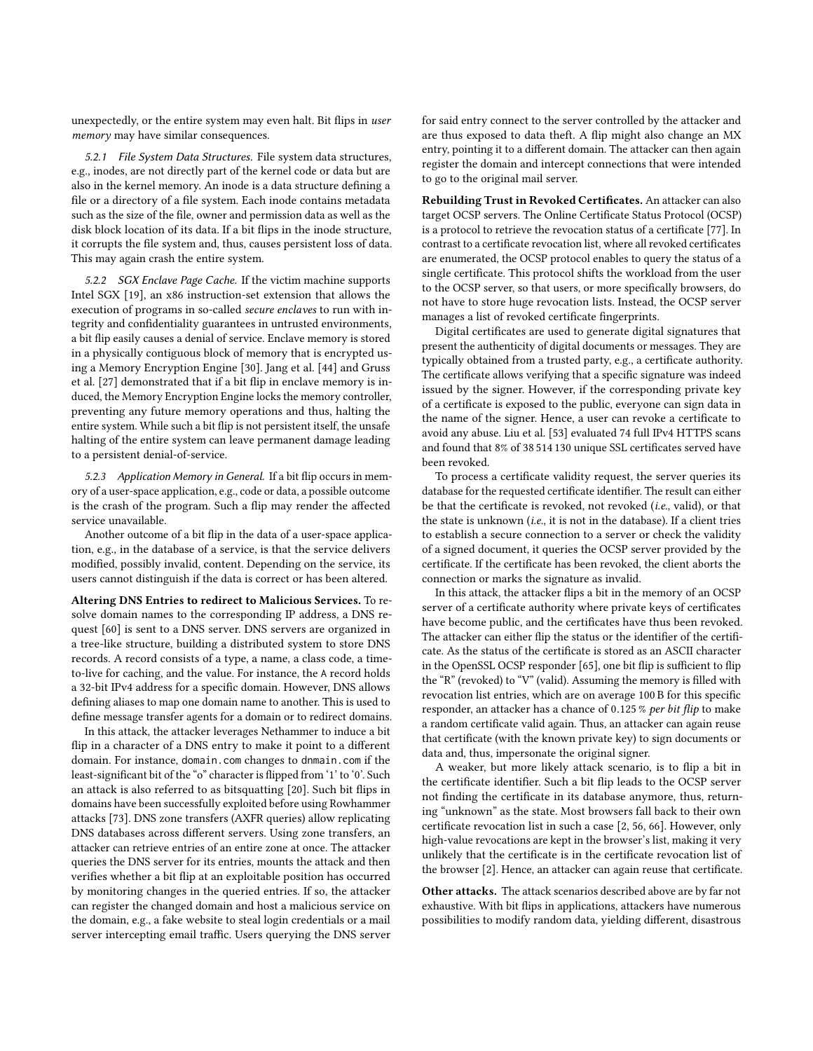unexpectedly, or the entire system may even halt. Bit flips in user memory may have similar consequences.

5.2.1 File System Data Structures. File system data structures, e.g., inodes, are not directly part of the kernel code or data but are also in the kernel memory. An inode is a data structure defining a file or a directory of a file system. Each inode contains metadata such as the size of the file, owner and permission data as well as the disk block location of its data. If a bit flips in the inode structure, it corrupts the file system and, thus, causes persistent loss of data. This may again crash the entire system.

5.2.2 SGX Enclave Page Cache. If the victim machine supports Intel SGX [\[19\]](#page-12-28), an x86 instruction-set extension that allows the execution of programs in so-called secure enclaves to run with integrity and confidentiality guarantees in untrusted environments, a bit flip easily causes a denial of service. Enclave memory is stored in a physically contiguous block of memory that is encrypted using a Memory Encryption Engine [\[30\]](#page-12-29). [Jang et al.](#page-12-30) [\[44\]](#page-12-30) and [Gruss](#page-12-2) [et al.](#page-12-2) [\[27\]](#page-12-2) demonstrated that if a bit flip in enclave memory is induced, the Memory Encryption Engine locks the memory controller, preventing any future memory operations and thus, halting the entire system. While such a bit flip is not persistent itself, the unsafe halting of the entire system can leave permanent damage leading to a persistent denial-of-service.

5.2.3 Application Memory in General. If a bit flip occurs in memory of a user-space application, e.g., code or data, a possible outcome is the crash of the program. Such a flip may render the affected service unavailable.

Another outcome of a bit flip in the data of a user-space application, e.g., in the database of a service, is that the service delivers modified, possibly invalid, content. Depending on the service, its users cannot distinguish if the data is correct or has been altered.

Altering DNS Entries to redirect to Malicious Services. To resolve domain names to the corresponding IP address, a DNS request [\[60\]](#page-13-28) is sent to a DNS server. DNS servers are organized in a tree-like structure, building a distributed system to store DNS records. A record consists of a type, a name, a class code, a timeto-live for caching, and the value. For instance, the A record holds a 32-bit IPv4 address for a specific domain. However, DNS allows defining aliases to map one domain name to another. This is used to define message transfer agents for a domain or to redirect domains.

In this attack, the attacker leverages Nethammer to induce a bit flip in a character of a DNS entry to make it point to a different domain. For instance, domain.com changes to dnmain.com if the least-significant bit of the "o" character is flipped from '1' to '0'. Such an attack is also referred to as bitsquatting [\[20\]](#page-12-31). Such bit flips in domains have been successfully exploited before using Rowhammer attacks [\[73\]](#page-13-5). DNS zone transfers (AXFR queries) allow replicating DNS databases across different servers. Using zone transfers, an attacker can retrieve entries of an entire zone at once. The attacker queries the DNS server for its entries, mounts the attack and then verifies whether a bit flip at an exploitable position has occurred by monitoring changes in the queried entries. If so, the attacker can register the changed domain and host a malicious service on the domain, e.g., a fake website to steal login credentials or a mail server intercepting email traffic. Users querying the DNS server for said entry connect to the server controlled by the attacker and are thus exposed to data theft. A flip might also change an MX entry, pointing it to a different domain. The attacker can then again register the domain and intercept connections that were intended to go to the original mail server.

Rebuilding Trust in Revoked Certificates. An attacker can also target OCSP servers. The Online Certificate Status Protocol (OCSP) is a protocol to retrieve the revocation status of a certificate [\[77\]](#page-13-29). In contrast to a certificate revocation list, where all revoked certificates are enumerated, the OCSP protocol enables to query the status of a single certificate. This protocol shifts the workload from the user to the OCSP server, so that users, or more specifically browsers, do not have to store huge revocation lists. Instead, the OCSP server manages a list of revoked certificate fingerprints.

Digital certificates are used to generate digital signatures that present the authenticity of digital documents or messages. They are typically obtained from a trusted party, e.g., a certificate authority. The certificate allows verifying that a specific signature was indeed issued by the signer. However, if the corresponding private key of a certificate is exposed to the public, everyone can sign data in the name of the signer. Hence, a user can revoke a certificate to avoid any abuse. [Liu et al.](#page-13-30) [\[53\]](#page-13-30) evaluated 74 full IPv4 HTTPS scans and found that 8% of 38 514 130 unique SSL certificates served have been revoked.

To process a certificate validity request, the server queries its database for the requested certificate identifier. The result can either be that the certificate is revoked, not revoked (i.e., valid), or that the state is unknown (i.e., it is not in the database). If a client tries to establish a secure connection to a server or check the validity of a signed document, it queries the OCSP server provided by the certificate. If the certificate has been revoked, the client aborts the connection or marks the signature as invalid.

In this attack, the attacker flips a bit in the memory of an OCSP server of a certificate authority where private keys of certificates have become public, and the certificates have thus been revoked. The attacker can either flip the status or the identifier of the certificate. As the status of the certificate is stored as an ASCII character in the OpenSSL OCSP responder [\[65\]](#page-13-31), one bit flip is sufficient to flip the "R" (revoked) to "V" (valid). Assuming the memory is filled with revocation list entries, which are on average 100 B for this specific responder, an attacker has a chance of <sup>0</sup>.125 % per bit flip to make a random certificate valid again. Thus, an attacker can again reuse that certificate (with the known private key) to sign documents or data and, thus, impersonate the original signer.

A weaker, but more likely attack scenario, is to flip a bit in the certificate identifier. Such a bit flip leads to the OCSP server not finding the certificate in its database anymore, thus, returning "unknown" as the state. Most browsers fall back to their own certificate revocation list in such a case [\[2,](#page-12-32) [56,](#page-13-32) [66\]](#page-13-33). However, only high-value revocations are kept in the browser's list, making it very unlikely that the certificate is in the certificate revocation list of the browser [\[2\]](#page-12-32). Hence, an attacker can again reuse that certificate.

Other attacks. The attack scenarios described above are by far not exhaustive. With bit flips in applications, attackers have numerous possibilities to modify random data, yielding different, disastrous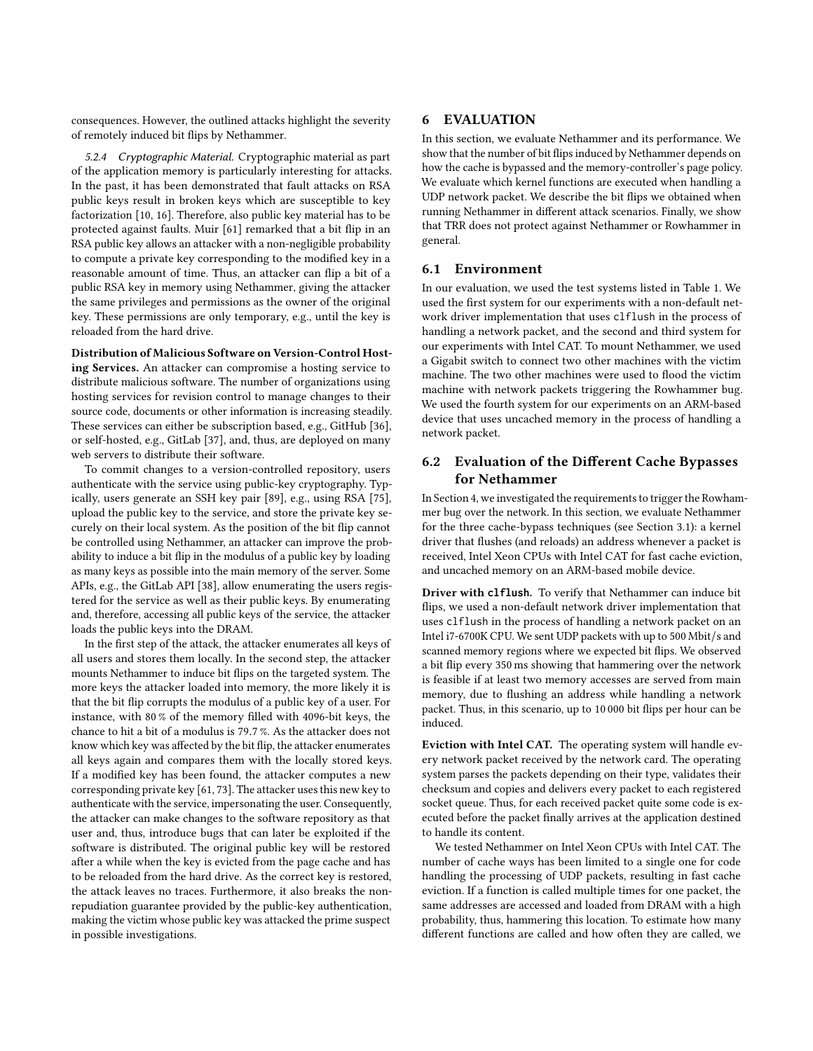consequences. However, the outlined attacks highlight the severity of remotely induced bit flips by Nethammer.

5.2.4 Cryptographic Material. Cryptographic material as part of the application memory is particularly interesting for attacks. In the past, it has been demonstrated that fault attacks on RSA public keys result in broken keys which are susceptible to key factorization [\[10,](#page-12-33) [16\]](#page-12-34). Therefore, also public key material has to be protected against faults. [Muir](#page-13-34) [\[61\]](#page-13-34) remarked that a bit flip in an RSA public key allows an attacker with a non-negligible probability to compute a private key corresponding to the modified key in a reasonable amount of time. Thus, an attacker can flip a bit of a public RSA key in memory using Nethammer, giving the attacker the same privileges and permissions as the owner of the original key. These permissions are only temporary, e.g., until the key is reloaded from the hard drive.

Distribution of Malicious Software on Version-Control Hosting Services. An attacker can compromise a hosting service to distribute malicious software. The number of organizations using hosting services for revision control to manage changes to their source code, documents or other information is increasing steadily. These services can either be subscription based, e.g., GitHub [\[36\]](#page-12-35), or self-hosted, e.g., GitLab [\[37\]](#page-12-36), and, thus, are deployed on many web servers to distribute their software.

To commit changes to a version-controlled repository, users authenticate with the service using public-key cryptography. Typically, users generate an SSH key pair [\[89\]](#page-13-35), e.g., using RSA [\[75\]](#page-13-36), upload the public key to the service, and store the private key securely on their local system. As the position of the bit flip cannot be controlled using Nethammer, an attacker can improve the probability to induce a bit flip in the modulus of a public key by loading as many keys as possible into the main memory of the server. Some APIs, e.g., the GitLab API [\[38\]](#page-12-37), allow enumerating the users registered for the service as well as their public keys. By enumerating and, therefore, accessing all public keys of the service, the attacker loads the public keys into the DRAM.

In the first step of the attack, the attacker enumerates all keys of all users and stores them locally. In the second step, the attacker mounts Nethammer to induce bit flips on the targeted system. The more keys the attacker loaded into memory, the more likely it is that the bit flip corrupts the modulus of a public key of a user. For instance, with 80 % of the memory filled with 4096-bit keys, the chance to hit a bit of a modulus is <sup>79</sup>.7 %. As the attacker does not know which key was affected by the bit flip, the attacker enumerates all keys again and compares them with the locally stored keys. If a modified key has been found, the attacker computes a new corresponding private key [\[61,](#page-13-34) [73\]](#page-13-5). The attacker uses this new key to authenticate with the service, impersonating the user. Consequently, the attacker can make changes to the software repository as that user and, thus, introduce bugs that can later be exploited if the software is distributed. The original public key will be restored after a while when the key is evicted from the page cache and has to be reloaded from the hard drive. As the correct key is restored, the attack leaves no traces. Furthermore, it also breaks the nonrepudiation guarantee provided by the public-key authentication, making the victim whose public key was attacked the prime suspect in possible investigations.

## <span id="page-8-0"></span>6 EVALUATION

In this section, we evaluate Nethammer and its performance. We show that the number of bit flips induced by Nethammer depends on how the cache is bypassed and the memory-controller's page policy. We evaluate which kernel functions are executed when handling a UDP network packet. We describe the bit flips we obtained when running Nethammer in different attack scenarios. Finally, we show that TRR does not protect against Nethammer or Rowhammer in general.

#### 6.1 Environment

In our evaluation, we used the test systems listed in Table [1.](#page-9-0) We used the first system for our experiments with a non-default network driver implementation that uses clflush in the process of handling a network packet, and the second and third system for our experiments with Intel CAT. To mount Nethammer, we used a Gigabit switch to connect two other machines with the victim machine. The two other machines were used to flood the victim machine with network packets triggering the Rowhammer bug. We used the fourth system for our experiments on an ARM-based device that uses uncached memory in the process of handling a network packet.

# <span id="page-8-1"></span>6.2 Evaluation of the Different Cache Bypasses for Nethammer

In Section [4,](#page-4-1) we investigated the requirements to trigger the Rowhammer bug over the network. In this section, we evaluate Nethammer for the three cache-bypass techniques (see Section [3.1\)](#page-4-3): a kernel driver that flushes (and reloads) an address whenever a packet is received, Intel Xeon CPUs with Intel CAT for fast cache eviction, and uncached memory on an ARM-based mobile device.

Driver with **clflush**. To verify that Nethammer can induce bit flips, we used a non-default network driver implementation that uses clflush in the process of handling a network packet on an Intel i7-6700K CPU. We sent UDP packets with up to 500 Mbit/s and scanned memory regions where we expected bit flips. We observed a bit flip every 350 ms showing that hammering over the network is feasible if at least two memory accesses are served from main memory, due to flushing an address while handling a network packet. Thus, in this scenario, up to 10 000 bit flips per hour can be induced.

Eviction with Intel CAT. The operating system will handle every network packet received by the network card. The operating system parses the packets depending on their type, validates their checksum and copies and delivers every packet to each registered socket queue. Thus, for each received packet quite some code is executed before the packet finally arrives at the application destined to handle its content.

We tested Nethammer on Intel Xeon CPUs with Intel CAT. The number of cache ways has been limited to a single one for code handling the processing of UDP packets, resulting in fast cache eviction. If a function is called multiple times for one packet, the same addresses are accessed and loaded from DRAM with a high probability, thus, hammering this location. To estimate how many different functions are called and how often they are called, we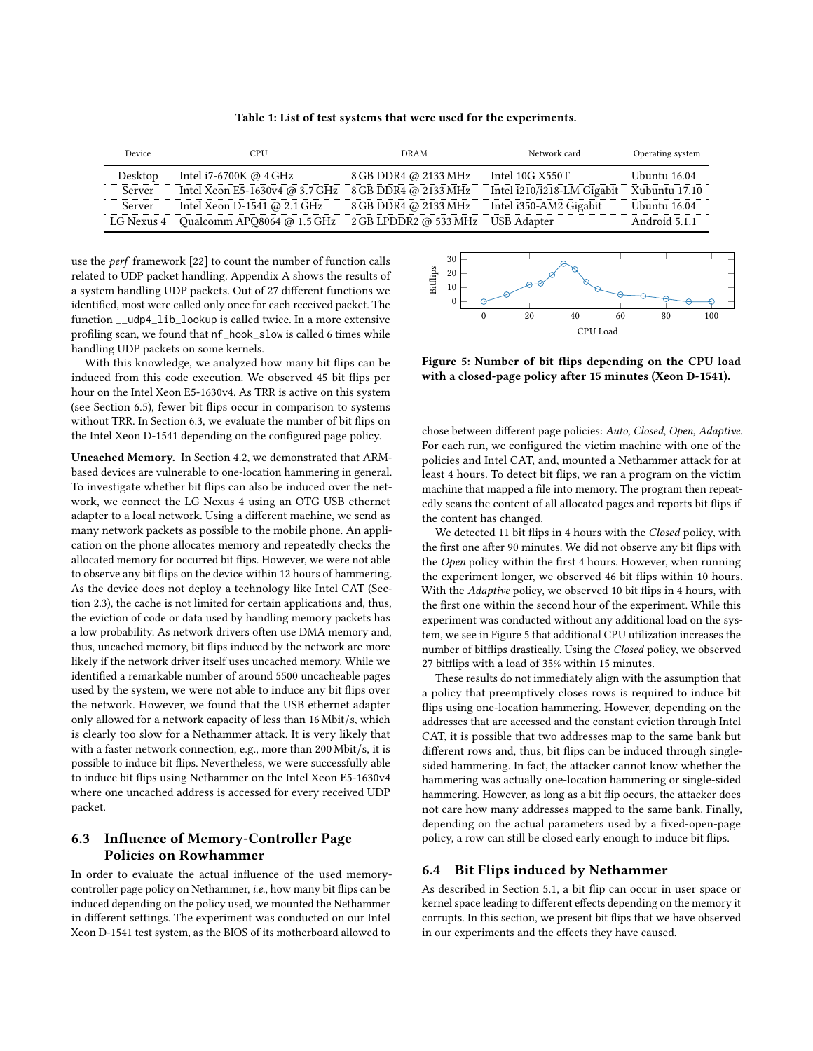Table 1: List of test systems that were used for the experiments.

<span id="page-9-0"></span>

| Device     | CPU                            | DRAM                  | Network card               | Operating system |
|------------|--------------------------------|-----------------------|----------------------------|------------------|
| Desktop    | Intel i7-6700K @ $4$ GHz       | 8 GB DDR4 @ 2133 MHz  | Intel 10G X550T            | Ubuntu 16.04     |
| Server     | Intel Xeon E5-1630v4 @ 3.7 GHz | 8 GB DDR4 @ 2133 MHz  | Intel i210/i218-LM Gigabit | Xubuntu 17.10    |
| Server     | Intel Xeon D-1541 @ 2.1 GHz    | 8 GB DDR4 @ 2133 MHz  | Intel i350-AM2 Gigabit     | Ubuntu 16.04     |
| LG Nexus 4 | Qualcomm APQ8064 @ 1.5 GHz     | 2 GB LPDDR2 @ 533 MHz | <b>USB</b> Adapter         | Android 5.1.1    |

use the perf framework [\[22\]](#page-12-38) to count the number of function calls related to UDP packet handling. Appendix [A](#page-13-37) shows the results of a system handling UDP packets. Out of 27 different functions we identified, most were called only once for each received packet. The function \_\_udp4\_lib\_lookup is called twice. In a more extensive profiling scan, we found that nf\_hook\_slow is called 6 times while handling UDP packets on some kernels.

With this knowledge, we analyzed how many bit flips can be induced from this code execution. We observed 45 bit flips per hour on the Intel Xeon E5-1630v4. As TRR is active on this system (see Section [6.5\)](#page-10-1), fewer bit flips occur in comparison to systems without TRR. In Section [6.3,](#page-9-1) we evaluate the number of bit flips on the Intel Xeon D-1541 depending on the configured page policy.

Uncached Memory. In Section [4.2,](#page-6-1) we demonstrated that ARMbased devices are vulnerable to one-location hammering in general. To investigate whether bit flips can also be induced over the network, we connect the LG Nexus 4 using an OTG USB ethernet adapter to a local network. Using a different machine, we send as many network packets as possible to the mobile phone. An application on the phone allocates memory and repeatedly checks the allocated memory for occurred bit flips. However, we were not able to observe any bit flips on the device within 12 hours of hammering. As the device does not deploy a technology like Intel CAT (Section [2.3\)](#page-3-0), the cache is not limited for certain applications and, thus, the eviction of code or data used by handling memory packets has a low probability. As network drivers often use DMA memory and, thus, uncached memory, bit flips induced by the network are more likely if the network driver itself uses uncached memory. While we identified a remarkable number of around 5500 uncacheable pages used by the system, we were not able to induce any bit flips over the network. However, we found that the USB ethernet adapter only allowed for a network capacity of less than 16 Mbit/s, which is clearly too slow for a Nethammer attack. It is very likely that with a faster network connection, e.g., more than 200 Mbit/s, it is possible to induce bit flips. Nevertheless, we were successfully able to induce bit flips using Nethammer on the Intel Xeon E5-1630v4 where one uncached address is accessed for every received UDP packet.

# <span id="page-9-1"></span>6.3 Influence of Memory-Controller Page Policies on Rowhammer

In order to evaluate the actual influence of the used memorycontroller page policy on Nethammer, i.e., how many bit flips can be induced depending on the policy used, we mounted the Nethammer in different settings. The experiment was conducted on our Intel Xeon D-1541 test system, as the BIOS of its motherboard allowed to

<span id="page-9-2"></span>

Figure 5: Number of bit flips depending on the CPU load with a closed-page policy after 15 minutes (Xeon D-1541).

chose between different page policies: Auto, Closed, Open, Adaptive. For each run, we configured the victim machine with one of the policies and Intel CAT, and, mounted a Nethammer attack for at least 4 hours. To detect bit flips, we ran a program on the victim machine that mapped a file into memory. The program then repeatedly scans the content of all allocated pages and reports bit flips if the content has changed.

We detected 11 bit flips in 4 hours with the Closed policy, with the first one after 90 minutes. We did not observe any bit flips with the Open policy within the first 4 hours. However, when running the experiment longer, we observed 46 bit flips within 10 hours. With the Adaptive policy, we observed 10 bit flips in 4 hours, with the first one within the second hour of the experiment. While this experiment was conducted without any additional load on the system, we see in Figure [5](#page-9-2) that additional CPU utilization increases the number of bitflips drastically. Using the Closed policy, we observed 27 bitflips with a load of 35% within 15 minutes.

These results do not immediately align with the assumption that a policy that preemptively closes rows is required to induce bit flips using one-location hammering. However, depending on the addresses that are accessed and the constant eviction through Intel CAT, it is possible that two addresses map to the same bank but different rows and, thus, bit flips can be induced through singlesided hammering. In fact, the attacker cannot know whether the hammering was actually one-location hammering or single-sided hammering. However, as long as a bit flip occurs, the attacker does not care how many addresses mapped to the same bank. Finally, depending on the actual parameters used by a fixed-open-page policy, a row can still be closed early enough to induce bit flips.

## 6.4 Bit Flips induced by Nethammer

As described in Section [5.1,](#page-6-2) a bit flip can occur in user space or kernel space leading to different effects depending on the memory it corrupts. In this section, we present bit flips that we have observed in our experiments and the effects they have caused.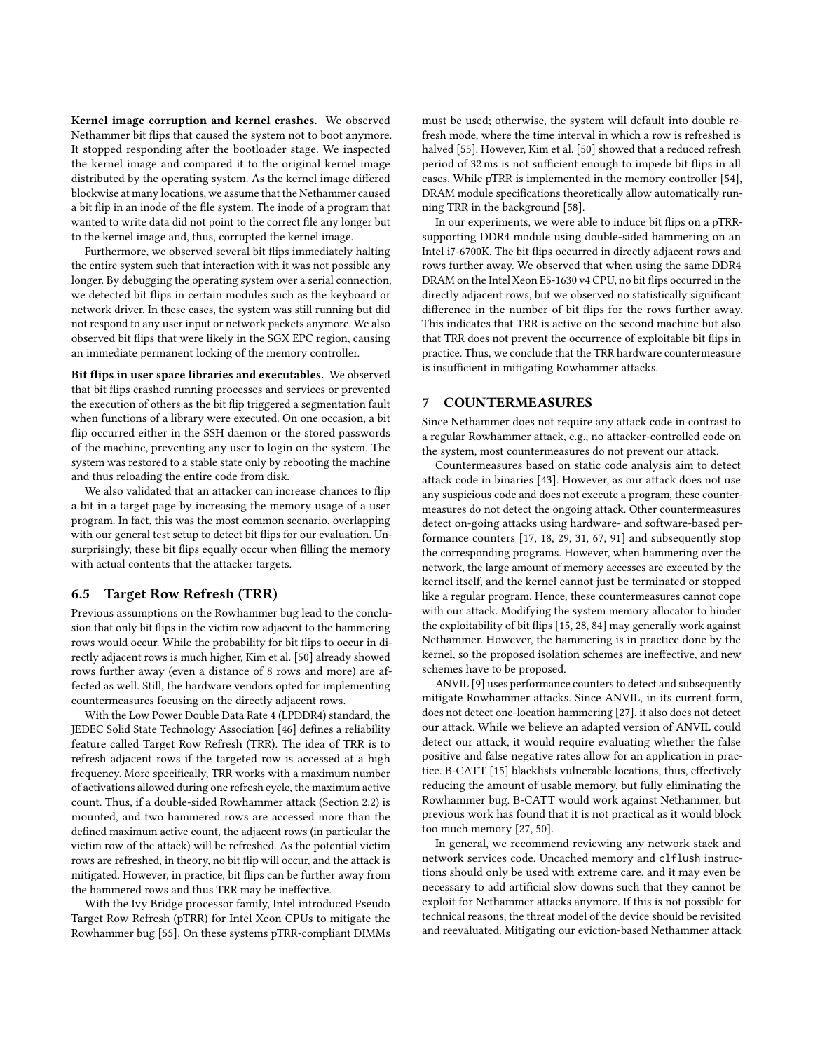Kernel image corruption and kernel crashes. We observed Nethammer bit flips that caused the system not to boot anymore. It stopped responding after the bootloader stage. We inspected the kernel image and compared it to the original kernel image distributed by the operating system. As the kernel image differed blockwise at many locations, we assume that the Nethammer caused a bit flip in an inode of the file system. The inode of a program that wanted to write data did not point to the correct file any longer but to the kernel image and, thus, corrupted the kernel image.

Furthermore, we observed several bit flips immediately halting the entire system such that interaction with it was not possible any longer. By debugging the operating system over a serial connection, we detected bit flips in certain modules such as the keyboard or network driver. In these cases, the system was still running but did not respond to any user input or network packets anymore. We also observed bit flips that were likely in the SGX EPC region, causing an immediate permanent locking of the memory controller.

Bit flips in user space libraries and executables. We observed that bit flips crashed running processes and services or prevented the execution of others as the bit flip triggered a segmentation fault when functions of a library were executed. On one occasion, a bit flip occurred either in the SSH daemon or the stored passwords of the machine, preventing any user to login on the system. The system was restored to a stable state only by rebooting the machine and thus reloading the entire code from disk.

We also validated that an attacker can increase chances to flip a bit in a target page by increasing the memory usage of a user program. In fact, this was the most common scenario, overlapping with our general test setup to detect bit flips for our evaluation. Unsurprisingly, these bit flips equally occur when filling the memory with actual contents that the attacker targets.

#### <span id="page-10-1"></span>6.5 Target Row Refresh (TRR)

Previous assumptions on the Rowhammer bug lead to the conclusion that only bit flips in the victim row adjacent to the hammering rows would occur. While the probability for bit flips to occur in directly adjacent rows is much higher, [Kim et al.](#page-13-1) [\[50\]](#page-13-1) already showed rows further away (even a distance of 8 rows and more) are affected as well. Still, the hardware vendors opted for implementing countermeasures focusing on the directly adjacent rows.

With the Low Power Double Data Rate 4 (LPDDR4) standard, the [JEDEC Solid State Technology Association](#page-13-20) [\[46\]](#page-13-20) defines a reliability feature called Target Row Refresh (TRR). The idea of TRR is to refresh adjacent rows if the targeted row is accessed at a high frequency. More specifically, TRR works with a maximum number of activations allowed during one refresh cycle, the maximum active count. Thus, if a double-sided Rowhammer attack (Section [2.2\)](#page-2-1) is mounted, and two hammered rows are accessed more than the defined maximum active count, the adjacent rows (in particular the victim row of the attack) will be refreshed. As the potential victim rows are refreshed, in theory, no bit flip will occur, and the attack is mitigated. However, in practice, bit flips can be further away from the hammered rows and thus TRR may be ineffective.

With the Ivy Bridge processor family, Intel introduced Pseudo Target Row Refresh (pTRR) for Intel Xeon CPUs to mitigate the Rowhammer bug [\[55\]](#page-13-38). On these systems pTRR-compliant DIMMs

must be used; otherwise, the system will default into double refresh mode, where the time interval in which a row is refreshed is halved [\[55\]](#page-13-38). However, [Kim et al.](#page-13-1) [\[50\]](#page-13-1) showed that a reduced refresh period of 32 ms is not sufficient enough to impede bit flips in all cases. While pTRR is implemented in the memory controller [\[54\]](#page-13-39), DRAM module specifications theoretically allow automatically running TRR in the background [\[58\]](#page-13-40).

In our experiments, we were able to induce bit flips on a pTRRsupporting DDR4 module using double-sided hammering on an Intel i7-6700K. The bit flips occurred in directly adjacent rows and rows further away. We observed that when using the same DDR4 DRAM on the Intel Xeon E5-1630 v4 CPU, no bit flips occurred in the directly adjacent rows, but we observed no statistically significant difference in the number of bit flips for the rows further away. This indicates that TRR is active on the second machine but also that TRR does not prevent the occurrence of exploitable bit flips in practice. Thus, we conclude that the TRR hardware countermeasure is insufficient in mitigating Rowhammer attacks.

#### <span id="page-10-0"></span>7 COUNTERMEASURES

Since Nethammer does not require any attack code in contrast to a regular Rowhammer attack, e.g., no attacker-controlled code on the system, most countermeasures do not prevent our attack.

Countermeasures based on static code analysis aim to detect attack code in binaries [\[43\]](#page-12-16). However, as our attack does not use any suspicious code and does not execute a program, these countermeasures do not detect the ongoing attack. Other countermeasures detect on-going attacks using hardware- and software-based performance counters [\[17,](#page-12-11) [18,](#page-12-12) [29,](#page-12-14) [31,](#page-12-15) [67,](#page-13-11) [91\]](#page-13-13) and subsequently stop the corresponding programs. However, when hammering over the network, the large amount of memory accesses are executed by the kernel itself, and the kernel cannot just be terminated or stopped like a regular program. Hence, these countermeasures cannot cope with our attack. Modifying the system memory allocator to hinder the exploitability of bit flips [\[15,](#page-12-10) [28,](#page-12-5) [84\]](#page-13-6) may generally work against Nethammer. However, the hammering is in practice done by the kernel, so the proposed isolation schemes are ineffective, and new schemes have to be proposed.

ANVIL [\[9\]](#page-12-9) uses performance counters to detect and subsequently mitigate Rowhammer attacks. Since ANVIL, in its current form, does not detect one-location hammering [\[27\]](#page-12-2), it also does not detect our attack. While we believe an adapted version of ANVIL could detect our attack, it would require evaluating whether the false positive and false negative rates allow for an application in practice. B-CATT [\[15\]](#page-12-10) blacklists vulnerable locations, thus, effectively reducing the amount of usable memory, but fully eliminating the Rowhammer bug. B-CATT would work against Nethammer, but previous work has found that it is not practical as it would block too much memory [\[27,](#page-12-2) [50\]](#page-13-1).

In general, we recommend reviewing any network stack and network services code. Uncached memory and clflush instructions should only be used with extreme care, and it may even be necessary to add artificial slow downs such that they cannot be exploit for Nethammer attacks anymore. If this is not possible for technical reasons, the threat model of the device should be revisited and reevaluated. Mitigating our eviction-based Nethammer attack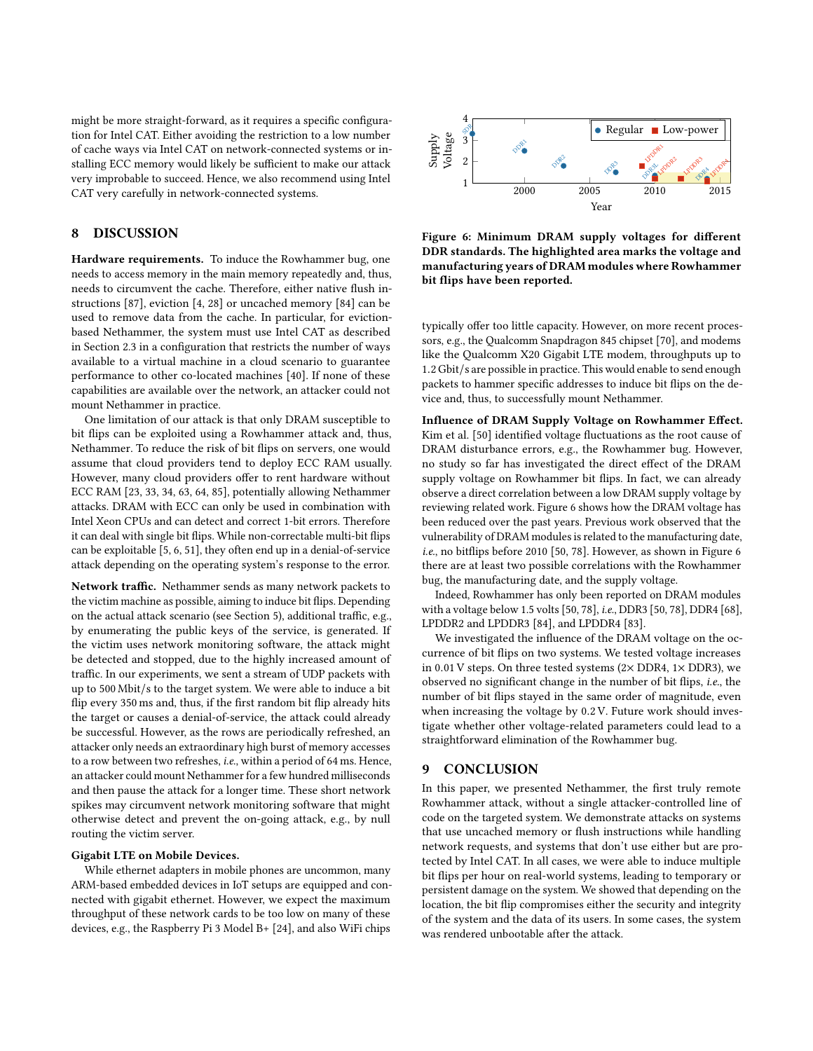might be more straight-forward, as it requires a specific configuration for Intel CAT. Either avoiding the restriction to a low number of cache ways via Intel CAT on network-connected systems or installing ECC memory would likely be sufficient to make our attack very improbable to succeed. Hence, we also recommend using Intel CAT very carefully in network-connected systems.

## <span id="page-11-0"></span>8 DISCUSSION

Hardware requirements. To induce the Rowhammer bug, one needs to access memory in the main memory repeatedly and, thus, needs to circumvent the cache. Therefore, either native flush instructions [\[87\]](#page-13-23), eviction [\[4,](#page-12-8) [28\]](#page-12-5) or uncached memory [\[84\]](#page-13-6) can be used to remove data from the cache. In particular, for evictionbased Nethammer, the system must use Intel CAT as described in Section [2.3](#page-3-0) in a configuration that restricts the number of ways available to a virtual machine in a cloud scenario to guarantee performance to other co-located machines [\[40\]](#page-12-24). If none of these capabilities are available over the network, an attacker could not mount Nethammer in practice.

One limitation of our attack is that only DRAM susceptible to bit flips can be exploited using a Rowhammer attack and, thus, Nethammer. To reduce the risk of bit flips on servers, one would assume that cloud providers tend to deploy ECC RAM usually. However, many cloud providers offer to rent hardware without ECC RAM [\[23,](#page-12-39) [33,](#page-12-40) [34,](#page-12-41) [63,](#page-13-41) [64,](#page-13-42) [85\]](#page-13-43), potentially allowing Nethammer attacks. DRAM with ECC can only be used in combination with Intel Xeon CPUs and can detect and correct 1-bit errors. Therefore it can deal with single bit flips. While non-correctable multi-bit flips can be exploitable [\[5,](#page-12-42) [6,](#page-12-43) [51\]](#page-13-44), they often end up in a denial-of-service attack depending on the operating system's response to the error.

Network traffic. Nethammer sends as many network packets to the victim machine as possible, aiming to induce bit flips. Depending on the actual attack scenario (see Section [5\)](#page-6-0), additional traffic, e.g., by enumerating the public keys of the service, is generated. If the victim uses network monitoring software, the attack might be detected and stopped, due to the highly increased amount of traffic. In our experiments, we sent a stream of UDP packets with up to 500 Mbit/s to the target system. We were able to induce a bit flip every 350 ms and, thus, if the first random bit flip already hits the target or causes a denial-of-service, the attack could already be successful. However, as the rows are periodically refreshed, an attacker only needs an extraordinary high burst of memory accesses to a row between two refreshes, i.e., within a period of 64 ms. Hence, an attacker could mount Nethammer for a few hundred milliseconds and then pause the attack for a longer time. These short network spikes may circumvent network monitoring software that might otherwise detect and prevent the on-going attack, e.g., by null routing the victim server.

#### Gigabit LTE on Mobile Devices.

While ethernet adapters in mobile phones are uncommon, many ARM-based embedded devices in IoT setups are equipped and connected with gigabit ethernet. However, we expect the maximum throughput of these network cards to be too low on many of these devices, e.g., the Raspberry Pi 3 Model B+ [\[24\]](#page-12-44), and also WiFi chips

<span id="page-11-2"></span>

Figure 6: Minimum DRAM supply voltages for different DDR standards. The highlighted area marks the voltage and manufacturing years of DRAM modules where Rowhammer bit flips have been reported.

typically offer too little capacity. However, on more recent processors, e.g., the Qualcomm Snapdragon 845 chipset [\[70\]](#page-13-45), and modems like the Qualcomm X20 Gigabit LTE modem, throughputs up to <sup>1</sup>.2 Gbit/<sup>s</sup> are possible in practice. This would enable to send enough packets to hammer specific addresses to induce bit flips on the device and, thus, to successfully mount Nethammer.

Influence of DRAM Supply Voltage on Rowhammer Effect. Kim et al. [\[50\]](#page-13-1) identified voltage fluctuations as the root cause of DRAM disturbance errors, e.g., the Rowhammer bug. However, no study so far has investigated the direct effect of the DRAM supply voltage on Rowhammer bit flips. In fact, we can already observe a direct correlation between a low DRAM supply voltage by reviewing related work. Figure [6](#page-11-2) shows how the DRAM voltage has been reduced over the past years. Previous work observed that the vulnerability of DRAM modules is related to the manufacturing date, i.e., no bitflips before 2010 [\[50,](#page-13-1) [78\]](#page-13-3). However, as shown in Figure [6](#page-11-2) there are at least two possible correlations with the Rowhammer bug, the manufacturing date, and the supply voltage.

Indeed, Rowhammer has only been reported on DRAM modules with a voltage below 1.5 volts [\[50,](#page-13-1) [78\]](#page-13-3), i.e., DDR3 [\[50,](#page-13-1) [78\]](#page-13-3), DDR4 [\[68\]](#page-13-14), LPDDR2 and LPDDR3 [\[84\]](#page-13-6), and LPDDR4 [\[83\]](#page-13-46).

We investigated the influence of the DRAM voltage on the occurrence of bit flips on two systems. We tested voltage increases in 0.01 V steps. On three tested systems  $(2 \times$  DDR4,  $1 \times$  DDR3), we observed no significant change in the number of bit flips, i.e., the number of bit flips stayed in the same order of magnitude, even when increasing the voltage by 0.2 V. Future work should investigate whether other voltage-related parameters could lead to a straightforward elimination of the Rowhammer bug.

#### <span id="page-11-1"></span>9 CONCLUSION

In this paper, we presented Nethammer, the first truly remote Rowhammer attack, without a single attacker-controlled line of code on the targeted system. We demonstrate attacks on systems that use uncached memory or flush instructions while handling network requests, and systems that don't use either but are protected by Intel CAT. In all cases, we were able to induce multiple bit flips per hour on real-world systems, leading to temporary or persistent damage on the system. We showed that depending on the location, the bit flip compromises either the security and integrity of the system and the data of its users. In some cases, the system was rendered unbootable after the attack.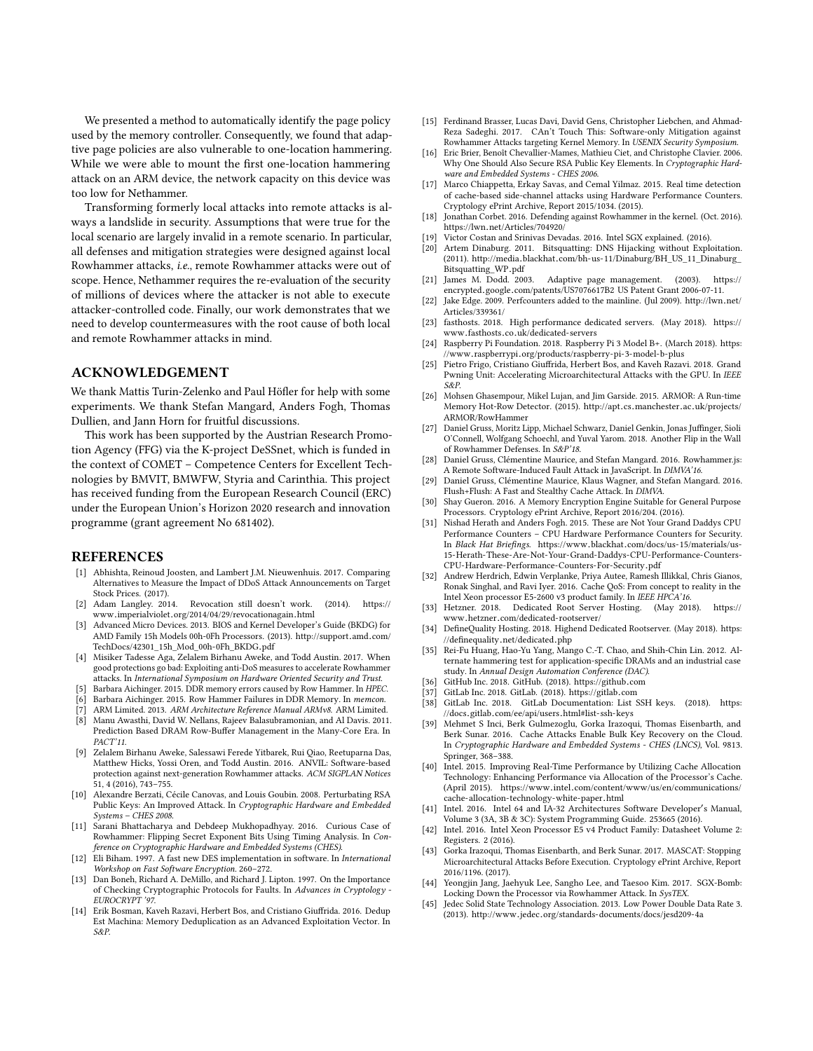We presented a method to automatically identify the page policy used by the memory controller. Consequently, we found that adaptive page policies are also vulnerable to one-location hammering. While we were able to mount the first one-location hammering attack on an ARM device, the network capacity on this device was too low for Nethammer.

Transforming formerly local attacks into remote attacks is always a landslide in security. Assumptions that were true for the local scenario are largely invalid in a remote scenario. In particular, all defenses and mitigation strategies were designed against local Rowhammer attacks, i.e., remote Rowhammer attacks were out of scope. Hence, Nethammer requires the re-evaluation of the security of millions of devices where the attacker is not able to execute attacker-controlled code. Finally, our work demonstrates that we need to develop countermeasures with the root cause of both local and remote Rowhammer attacks in mind.

## ACKNOWLEDGEMENT

We thank Mattis Turin-Zelenko and Paul Höfler for help with some experiments. We thank Stefan Mangard, Anders Fogh, Thomas Dullien, and Jann Horn for fruitful discussions.

This work has been supported by the Austrian Research Promotion Agency (FFG) via the K-project DeSSnet, which is funded in the context of COMET – Competence Centers for Excellent Technologies by BMVIT, BMWFW, Styria and Carinthia. This project has received funding from the European Research Council (ERC) under the European Union's Horizon 2020 research and innovation programme (grant agreement No 681402).

#### REFERENCES

- <span id="page-12-27"></span>[1] Abhishta, Reinoud Joosten, and Lambert J.M. Nieuwenhuis. 2017. Comparing Alternatives to Measure the Impact of DDoS Attack Announcements on Target Stock Prices. (2017).
- <span id="page-12-32"></span>[2] Adam Langley. 2014. Revocation still doesn't work. (2014). [https://](https://www.imperialviolet.org/2014/04/29/revocationagain.html) www.imperialviolet.[org/2014/04/29/revocationagain](https://www.imperialviolet.org/2014/04/29/revocationagain.html).html
- <span id="page-12-18"></span>[3] Advanced Micro Devices. 2013. BIOS and Kernel Developer's Guide (BKDG) for AMD Family 15h Models 00h-0Fh Processors. (2013). [http://support](http://support.amd.com/TechDocs/42301_15h_Mod_00h-0Fh_BKDG.pdf).amd.com/ [TechDocs/42301\\_15h\\_Mod\\_00h-0Fh\\_BKDG](http://support.amd.com/TechDocs/42301_15h_Mod_00h-0Fh_BKDG.pdf).pdf
- <span id="page-12-8"></span>[4] Misiker Tadesse Aga, Zelalem Birhanu Aweke, and Todd Austin. 2017. When good protections go bad: Exploiting anti-DoS measures to accelerate Rowhammer attacks. In International Symposium on Hardware Oriented Security and Trust.
- <span id="page-12-42"></span>Barbara Aichinger. 2015. DDR memory errors caused by Row Hammer. In HPEC.
- <span id="page-12-43"></span>Barbara Aichinger. 2015. Row Hammer Failures in DDR Memory. In memcon.
- <span id="page-12-26"></span>ARM Limited. 2013. ARM Architecture Reference Manual ARMv8. ARM Limited.
- <span id="page-12-20"></span>[8] Manu Awasthi, David W. Nellans, Rajeev Balasubramonian, and Al Davis. 2011. Prediction Based DRAM Row-Buffer Management in the Many-Core Era. In PACT'11.
- <span id="page-12-9"></span>[9] Zelalem Birhanu Aweke, Salessawi Ferede Yitbarek, Rui Qiao, Reetuparna Das, Matthew Hicks, Yossi Oren, and Todd Austin. 2016. ANVIL: Software-based protection against next-generation Rowhammer attacks. ACM SIGPLAN Notices 51, 4 (2016), 743–755.
- <span id="page-12-33"></span>[10] Alexandre Berzati, Cécile Canovas, and Louis Goubin. 2008. Perturbating RSA Public Keys: An Improved Attack. In Cryptographic Hardware and Embedded Systems – CHES 2008.
- <span id="page-12-6"></span>[11] Sarani Bhattacharya and Debdeep Mukhopadhyay. 2016. Curious Case of Rowhammer: Flipping Secret Exponent Bits Using Timing Analysis. In Conference on Cryptographic Hardware and Embedded Systems (CHES).
- <span id="page-12-0"></span>[12] Eli Biham. 1997. A fast new DES implementation in software. In International Workshop on Fast Software Encryption. 260–272.
- <span id="page-12-1"></span>[13] Dan Boneh, Richard A. DeMillo, and Richard J. Lipton. 1997. On the Importance of Checking Cryptographic Protocols for Faults. In Advances in Cryptology - EUROCRYPT '97.
- <span id="page-12-3"></span>[14] Erik Bosman, Kaveh Razavi, Herbert Bos, and Cristiano Giuffrida. 2016. Dedup Est Machina: Memory Deduplication as an Advanced Exploitation Vector. In S&P.
- <span id="page-12-10"></span>[15] Ferdinand Brasser, Lucas Davi, David Gens, Christopher Liebchen, and Ahmad-Reza Sadeghi. 2017. CAn't Touch This: Software-only Mitigation against Rowhammer Attacks targeting Kernel Memory. In USENIX Security Symposium.
- <span id="page-12-34"></span>[16] Eric Brier, Benoît Chevallier-Mames, Mathieu Ciet, and Christophe Clavier. 2006. Why One Should Also Secure RSA Public Key Elements. In Cryptographic Hardware and Embedded Systems - CHES 2006.
- <span id="page-12-11"></span>[17] Marco Chiappetta, Erkay Savas, and Cemal Yilmaz. 2015. Real time detection of cache-based side-channel attacks using Hardware Performance Counters. Cryptology ePrint Archive, Report 2015/1034. (2015).
- <span id="page-12-12"></span>[18] Jonathan Corbet. 2016. Defending against Rowhammer in the kernel. (Oct. 2016). https://lwn.[net/Articles/704920/](https://lwn.net/Articles/704920/)
- <span id="page-12-28"></span>[19] Victor Costan and Srinivas Devadas. 2016. Intel SGX explained. (2016).
- <span id="page-12-31"></span>Artem Dinaburg. 2011. Bitsquatting: DNS Hijacking without Exploitation. (2011). http://media.blackhat.[com/bh-us-11/Dinaburg/BH\\_US\\_11\\_Dinaburg\\_](http://media.blackhat.com/bh-us-11/Dinaburg/BH_US_11_Dinaburg_Bitsquatting_WP.pdf) [Bitsquatting\\_WP](http://media.blackhat.com/bh-us-11/Dinaburg/BH_US_11_Dinaburg_Bitsquatting_WP.pdf).pdf<br>James M. Dodd. 2003.
- <span id="page-12-19"></span>[21] James M. Dodd. 2003. Adaptive page management. (2003). [https://](https://encrypted.google.com/patents/US7076617B2) encrypted.google.[com/patents/US7076617B2](https://encrypted.google.com/patents/US7076617B2) US Patent Grant 2006-07-11.
- <span id="page-12-38"></span>[22] Jake Edge. 2009. Perfcounters added to the mainline. (Jul 2009). [http://lwn](http://lwn.net/Articles/339361/).net/ [Articles/339361/](http://lwn.net/Articles/339361/)
- <span id="page-12-39"></span>[23] fasthosts. 2018. High performance dedicated servers. (May 2018). [https://](https://www.fasthosts.co.uk/dedicated-servers) www.fasthosts.co.[uk/dedicated-servers](https://www.fasthosts.co.uk/dedicated-servers) [24] Raspberry Pi Foundation. 2018. Raspberry Pi 3 Model B+. (March 2018). [https:](https://www.raspberrypi.org/products/raspberry-pi-3-model-b-plus)
- <span id="page-12-44"></span>//www.raspberrypi.[org/products/raspberry-pi-3-model-b-plus](https://www.raspberrypi.org/products/raspberry-pi-3-model-b-plus) [25] Pietro Frigo, Cristiano Giuffrida, Herbert Bos, and Kaveh Razavi. 2018. Grand
- <span id="page-12-4"></span>Pwning Unit: Accelerating Microarchitectural Attacks with the GPU. In IEEE S&P.
- <span id="page-12-13"></span>[26] Mohsen Ghasempour, Mikel Lujan, and Jim Garside. 2015. ARMOR: A Run-time Memory Hot-Row Detector. (2015). http://apt.cs.manchester.ac.[uk/projects/](http://apt.cs.manchester.ac.uk/projects/ARMOR/RowHammer) [ARMOR/RowHammer](http://apt.cs.manchester.ac.uk/projects/ARMOR/RowHammer)
- <span id="page-12-2"></span>[27] Daniel Gruss, Moritz Lipp, Michael Schwarz, Daniel Genkin, Jonas Juffinger, Sioli O'Connell, Wolfgang Schoechl, and Yuval Yarom. 2018. Another Flip in the Wall of Rowhammer Defenses. In S&P'18.
- <span id="page-12-5"></span>[28] Daniel Gruss, Clémentine Maurice, and Stefan Mangard. 2016. Rowhammer.js: A Remote Software-Induced Fault Attack in JavaScript. In DIMVA'16.
- <span id="page-12-14"></span>[29] Daniel Gruss, Clémentine Maurice, Klaus Wagner, and Stefan Mangard. 2016. Flush+Flush: A Fast and Stealthy Cache Attack. In DIMVA.
- <span id="page-12-29"></span>[30] Shay Gueron. 2016. A Memory Encryption Engine Suitable for General Purpose Processors. Cryptology ePrint Archive, Report 2016/204. (2016).
- <span id="page-12-15"></span>[31] Nishad Herath and Anders Fogh. 2015. These are Not Your Grand Daddys CPU Performance Counters – CPU Hardware Performance Counters for Security. In Black Hat Briefings. https://www.blackhat.[com/docs/us-15/materials/us-](https://www.blackhat.com/docs/us-15/materials/us-15-Herath-These-Are-Not-Your-Grand-Daddys-CPU-Performance-Counters-CPU-Hardware-Performance-Counters-For-Security.pdf)[15-Herath-These-Are-Not-Your-Grand-Daddys-CPU-Performance-Counters-](https://www.blackhat.com/docs/us-15/materials/us-15-Herath-These-Are-Not-Your-Grand-Daddys-CPU-Performance-Counters-CPU-Hardware-Performance-Counters-For-Security.pdf)
- <span id="page-12-7"></span>[CPU-Hardware-Performance-Counters-For-Security](https://www.blackhat.com/docs/us-15/materials/us-15-Herath-These-Are-Not-Your-Grand-Daddys-CPU-Performance-Counters-CPU-Hardware-Performance-Counters-For-Security.pdf).pdf [32] Andrew Herdrich, Edwin Verplanke, Priya Autee, Ramesh Illikkal, Chris Gianos, Ronak Singhal, and Ravi Iyer. 2016. Cache QoS: From concept to reality in the Intel Xeon processor E5-2600 v3 product family. In IEEE HPCA'16.
- <span id="page-12-40"></span>[33] Hetzner. 2018. Dedicated Root Server Hosting. (May 2018). [https://](https://www.hetzner.com/dedicated-rootserver/) www.hetzner.[com/dedicated-rootserver/](https://www.hetzner.com/dedicated-rootserver/) [34] DefineQuality Hosting. 2018. Highend Dedicated Rootserver. (May 2018). [https:](https://definequality.net/dedicated.php)
- <span id="page-12-41"></span>[//definequality](https://definequality.net/dedicated.php).net/dedicated.php [35] Rei-Fu Huang, Hao-Yu Yang, Mango C.-T. Chao, and Shih-Chin Lin. 2012. Al-
- <span id="page-12-21"></span>ternate hammering test for application-specific DRAMs and an industrial case study. In Annual Design Automation Conference (DAC).
- <span id="page-12-35"></span>[36] GitHub Inc. 2018. GitHub. (2018). [https://github](https://github.com).com
- <span id="page-12-36"></span>[37] GitLab Inc. 2018. GitLab. (2018). [https://gitlab](https://gitlab.com).com
- <span id="page-12-37"></span>GitLab Inc. 2018. GitLab Documentation: List SSH keys. (2018). [https:](https://docs.gitlab.com/ee/api/users.html#list-ssh-keys) //docs.gitlab.com/ee/api/users.[html#list-ssh-keys](https://docs.gitlab.com/ee/api/users.html#list-ssh-keys)
- <span id="page-12-22"></span>[39] Mehmet S Inci, Berk Gulmezoglu, Gorka Irazoqui, Thomas Eisenbarth, and Berk Sunar. 2016. Cache Attacks Enable Bulk Key Recovery on the Cloud. In Cryptographic Hardware and Embedded Systems - CHES (LNCS), Vol. 9813. Springer, 368–388.
- <span id="page-12-24"></span>[40] Intel. 2015. Improving Real-Time Performance by Utilizing Cache Allocation Technology: Enhancing Performance via Allocation of the Processor's Cache. (April 2015). https://www.intel.[com/content/www/us/en/communications/](https://www.intel.com/content/www/us/en/communications/cache-allocation-technology-white-paper.html) [cache-allocation-technology-white-paper](https://www.intel.com/content/www/us/en/communications/cache-allocation-technology-white-paper.html).html
- <span id="page-12-23"></span>[41] Intel. 2016. Intel 64 and IA-32 Architectures Software Developer′ s Manual, Volume 3 (3A, 3B & 3C): System Programming Guide. 253665 (2016).
- <span id="page-12-25"></span>Intel. 2016. Intel Xeon Processor E5 v4 Product Family: Datasheet Volume 2: Registers. 2 (2016).
- <span id="page-12-16"></span>[43] Gorka Irazoqui, Thomas Eisenbarth, and Berk Sunar. 2017. MASCAT: Stopping Microarchitectural Attacks Before Execution. Cryptology ePrint Archive, Report 2016/1196. (2017).
- <span id="page-12-30"></span>[44] Yeongjin Jang, Jaehyuk Lee, Sangho Lee, and Taesoo Kim. 2017. SGX-Bomb: Locking Down the Processor via Rowhammer Attack. In SysTEX.
- <span id="page-12-17"></span>[45] Jedec Solid State Technology Association. 2013. Low Power Double Data Rate 3. (2013). http://www.jedec.[org/standards-documents/docs/jesd209-4a](http://www.jedec.org/standards-documents/docs/jesd209-4a)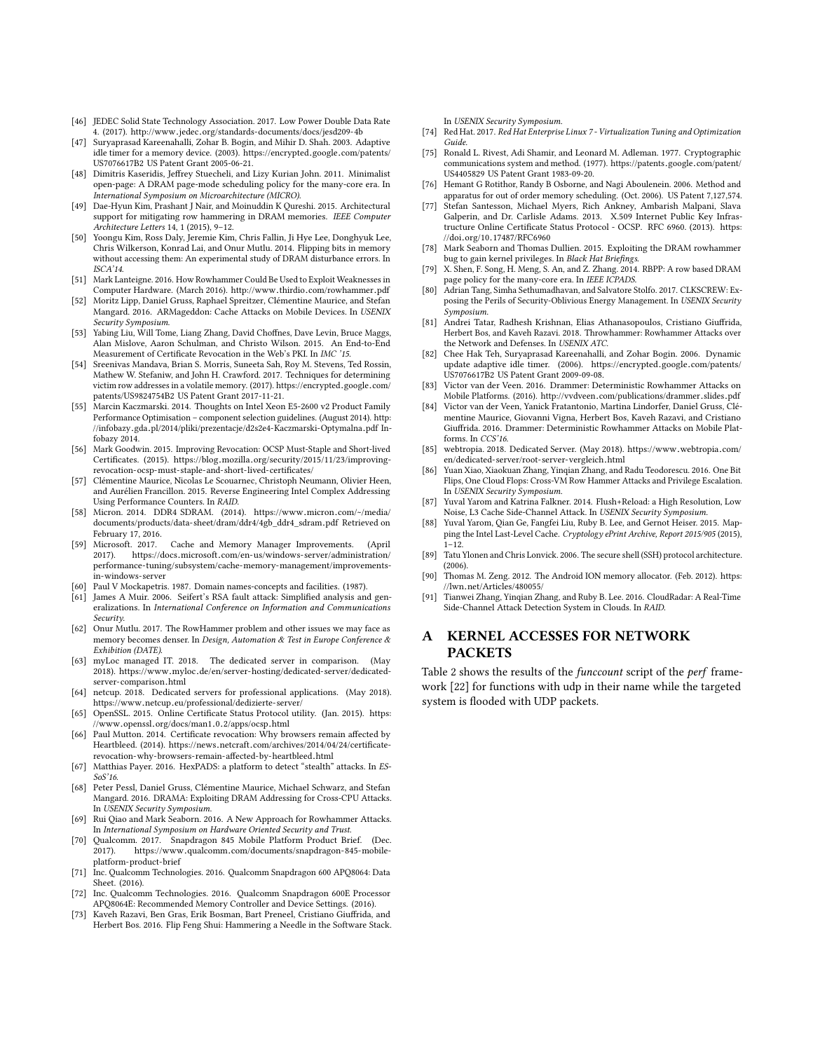- <span id="page-13-20"></span>[46] JEDEC Solid State Technology Association. 2017. Low Power Double Data Rate 4. (2017). http://www.jedec.[org/standards-documents/docs/jesd209-4b](http://www.jedec.org/standards-documents/docs/jesd209-4b)
- <span id="page-13-17"></span>[47] Suryaprasad Kareenahalli, Zohar B. Bogin, and Mihir D. Shah. 2003. Adaptive idle timer for a memory device. (2003). [https://encrypted](https://encrypted.google.com/patents/US7076617B2).google.com/patents/ [US7076617B2](https://encrypted.google.com/patents/US7076617B2) US Patent Grant 2005-06-21.
- <span id="page-13-15"></span>[48] Dimitris Kaseridis, Jeffrey Stuecheli, and Lizy Kurian John. 2011. Minimalist open-page: A DRAM page-mode scheduling policy for the many-core era. In International Symposium on Microarchitecture (MICRO).
- <span id="page-13-9"></span>[49] Dae-Hyun Kim, Prashant J Nair, and Moinuddin K Qureshi. 2015. Architectural support for mitigating row hammering in DRAM memories. IEEE Computer Architecture Letters 14, 1 (2015), 9–12.
- <span id="page-13-1"></span>[50] Yoongu Kim, Ross Daly, Jeremie Kim, Chris Fallin, Ji Hye Lee, Donghyuk Lee, Chris Wilkerson, Konrad Lai, and Onur Mutlu. 2014. Flipping bits in memory without accessing them: An experimental study of DRAM disturbance errors. In ISCA'14.
- <span id="page-13-44"></span>[51] Mark Lanteigne. 2016. How Rowhammer Could Be Used to Exploit Weaknesses in Computer Hardware. (March 2016). http://www.thirdio.[com/rowhammer](http://www.thirdio.com/rowhammer.pdf).pdf
- <span id="page-13-24"></span>[52] Moritz Lipp, Daniel Gruss, Raphael Spreitzer, Clémentine Maurice, and Stefan Mangard. 2016. ARMageddon: Cache Attacks on Mobile Devices. In USENIX Security Symposium.
- <span id="page-13-30"></span>[53] Yabing Liu, Will Tome, Liang Zhang, David Choffnes, Dave Levin, Bruce Maggs, Alan Mislove, Aaron Schulman, and Christo Wilson. 2015. An End-to-End Measurement of Certificate Revocation in the Web's PKI. In IMC '15.
- <span id="page-13-39"></span>[54] Sreenivas Mandava, Brian S. Morris, Suneeta Sah, Roy M. Stevens, Ted Rossin, Mathew W. Stefaniw, and John H. Crawford. 2017. Techniques for determining victim row addresses in a volatile memory. (2017). [https://encrypted](https://encrypted.google.com/patents/US9824754B2).google.com/ [patents/US9824754B2](https://encrypted.google.com/patents/US9824754B2) US Patent Grant 2017-11-21.
- <span id="page-13-38"></span>[55] Marcin Kaczmarski. 2014. Thoughts on Intel Xeon E5-2600 v2 Product Family Performance Optimisation – component selection guidelines. (August 2014). [http:](http://infobazy.gda.pl/2014/pliki/prezentacje/d2s2e4-Kaczmarski-Optymalna.pdf) //infobazy.gda.[pl/2014/pliki/prezentacje/d2s2e4-Kaczmarski-Optymalna](http://infobazy.gda.pl/2014/pliki/prezentacje/d2s2e4-Kaczmarski-Optymalna.pdf).pdf Infobazy 2014.
- <span id="page-13-32"></span>[56] Mark Goodwin. 2015. Improving Revocation: OCSP Must-Staple and Short-lived Certificates. (2015). https://blog.mozilla.[org/security/2015/11/23/improving](https://blog.mozilla.org/security/2015/11/23/improving-revocation-ocsp-must-staple-and-short-lived-certificates/)[revocation-ocsp-must-staple-and-short-lived-certificates/](https://blog.mozilla.org/security/2015/11/23/improving-revocation-ocsp-must-staple-and-short-lived-certificates/)
- <span id="page-13-21"></span>[57] Clémentine Maurice, Nicolas Le Scouarnec, Christoph Neumann, Olivier Heen, and Aurélien Francillon. 2015. Reverse Engineering Intel Complex Addressing Using Performance Counters. In RAID.
- <span id="page-13-40"></span>[58] Micron. 2014. DDR4 SDRAM. (2014). https://www.micron.[com/~/media/](https://www.micron.com/~/media/documents/products/data-sheet/dram/ddr4/4gb_ddr4_sdram.pdf) [documents/products/data-sheet/dram/ddr4/4gb\\_ddr4\\_sdram](https://www.micron.com/~/media/documents/products/data-sheet/dram/ddr4/4gb_ddr4_sdram.pdf).pdf Retrieved on February 17, 2016.
- <span id="page-13-10"></span>[59] Microsoft. 2017. Cache and Memory Manager Improvements. (April 2017). https://docs.microsoft.[com/en-us/windows-server/administration/](https://docs.microsoft.com/en-us/windows-server/administration/performance-tuning/subsystem/cache-memory-management/improvements-in-windows-server) [performance-tuning/subsystem/cache-memory-management/improvements](https://docs.microsoft.com/en-us/windows-server/administration/performance-tuning/subsystem/cache-memory-management/improvements-in-windows-server)[in-windows-server](https://docs.microsoft.com/en-us/windows-server/administration/performance-tuning/subsystem/cache-memory-management/improvements-in-windows-server)
- <span id="page-13-28"></span>[60] Paul V Mockapetris. 1987. Domain names-concepts and facilities. (1987).
- <span id="page-13-34"></span>[61] James A Muir. 2006. Seifert's RSA fault attack: Simplified analysis and generalizations. In International Conference on Information and Communications Security.
- <span id="page-13-7"></span>[62] Onur Mutlu. 2017. The RowHammer problem and other issues we may face as memory becomes denser. In Design, Automation & Test in Europe Conference & Exhibition (DATE).
- <span id="page-13-41"></span>[63] myLoc managed IT. 2018. The dedicated server in comparison. (May 2018). https://www.myloc.[de/en/server-hosting/dedicated-server/dedicated](https://www.myloc.de/en/server-hosting/dedicated-server/dedicated-server-comparison.html)[server-comparison](https://www.myloc.de/en/server-hosting/dedicated-server/dedicated-server-comparison.html).html
- <span id="page-13-42"></span>[64] netcup. 2018. Dedicated servers for professional applications. (May 2018). https://www.netcup.[eu/professional/dedizierte-server/](https://www.netcup.eu/professional/dedizierte-server/)
- <span id="page-13-31"></span>[65] OpenSSL. 2015. Online Certificate Status Protocol utility. (Jan. 2015). [https:](https://www.openssl.org/docs/man1.0.2/apps/ocsp.html) //www.openssl.[org/docs/man1](https://www.openssl.org/docs/man1.0.2/apps/ocsp.html).0.2/apps/ocsp.html
- <span id="page-13-33"></span>[66] Paul Mutton. 2014. Certificate revocation: Why browsers remain affected by Heartbleed. (2014). https://news.netcraft.[com/archives/2014/04/24/certificate](https://news.netcraft.com/archives/2014/04/24/certificate-revocation-why-browsers-remain-affected-by-heartbleed.html)[revocation-why-browsers-remain-affected-by-heartbleed](https://news.netcraft.com/archives/2014/04/24/certificate-revocation-why-browsers-remain-affected-by-heartbleed.html).html
- <span id="page-13-11"></span>[67] Matthias Payer. 2016. HexPADS: a platform to detect "stealth" attacks. In ES-SoS'16.
- <span id="page-13-14"></span>[68] Peter Pessl, Daniel Gruss, Clémentine Maurice, Michael Schwarz, and Stefan Mangard. 2016. DRAMA: Exploiting DRAM Addressing for Cross-CPU Attacks. In USENIX Security Symposium.
- <span id="page-13-8"></span>[69] Rui Qiao and Mark Seaborn. 2016. A New Approach for Rowhammer Attacks. In International Symposium on Hardware Oriented Security and Trust.
- <span id="page-13-45"></span>[70] Qualcomm. 2017. Snapdragon 845 Mobile Platform Product Brief. (Dec. 2017). https://www.qualcomm.[com/documents/snapdragon-845-mobile](https://www.qualcomm.com/documents/snapdragon-845-mobile-platform-product-brief)[platform-product-brief](https://www.qualcomm.com/documents/snapdragon-845-mobile-platform-product-brief)
- <span id="page-13-25"></span>[71] Inc. Qualcomm Technologies. 2016. Qualcomm Snapdragon 600 APQ8064: Data Sheet. (2016).
- <span id="page-13-26"></span>[72] Inc. Qualcomm Technologies. 2016. Qualcomm Snapdragon 600E Processor APQ8064E: Recommended Memory Controller and Device Settings. (2016).
- <span id="page-13-5"></span>[73] Kaveh Razavi, Ben Gras, Erik Bosman, Bart Preneel, Cristiano Giuffrida, and Herbert Bos. 2016. Flip Feng Shui: Hammering a Needle in the Software Stack.

In USENIX Security Symposium.

- <span id="page-13-12"></span>[74] Red Hat. 2017. Red Hat Enterprise Linux 7 - Virtualization Tuning and Optimization Guide.
- <span id="page-13-36"></span>[75] Ronald L. Rivest, Adi Shamir, and Leonard M. Adleman. 1977. Cryptographic communications system and method. (1977). [https://patents](https://patents.google.com/patent/US4405829).google.com/patent/ [US4405829](https://patents.google.com/patent/US4405829) US Patent Grant 1983-09-20.
- <span id="page-13-19"></span>Hemant G Rotithor, Randy B Osborne, and Nagi Aboulenein. 2006. Method and apparatus for out of order memory scheduling. (Oct. 2006). US Patent 7,127,574.
- <span id="page-13-29"></span>Stefan Santesson, Michael Myers, Rich Ankney, Ambarish Malpani, Slava Galperin, and Dr. Carlisle Adams. 2013. X.509 Internet Public Key Infrastructure Online Certificate Status Protocol - OCSP. RFC 6960. (2013). [https:](https://doi.org/10.17487/RFC6960)<br>//doi.org/10.17487/RFC6960
- <span id="page-13-3"></span>//doi.org/10.[17487/RFC6960](https://doi.org/10.17487/RFC6960) [78] Mark Seaborn and Thomas Dullien. 2015. Exploiting the DRAM rowhammer bug to gain kernel privileges. In Black Hat Briefings.
- <span id="page-13-16"></span>[79] X. Shen, F. Song, H. Meng, S. An, and Z. Zhang. 2014. RBPP: A row based DRAM page policy for the many-core era. In IEEE ICPADS.
- <span id="page-13-2"></span>[80] Adrian Tang, Simha Sethumadhavan, and Salvatore Stolfo. 2017. CLKSCREW: Exposing the Perils of Security-Oblivious Energy Management. In USENIX Security Symposium.
- <span id="page-13-0"></span>[81] Andrei Tatar, Radhesh Krishnan, Elias Athanasopoulos, Cristiano Giuffrida, Herbert Bos, and Kaveh Razavi. 2018. Throwhammer: Rowhammer Attacks over the Network and Defenses. In USENIX ATC.
- <span id="page-13-18"></span>[82] Chee Hak Teh, Suryaprasad Kareenahalli, and Zohar Bogin. 2006. Dynamic update adaptive idle timer. (2006). [https://encrypted](https://encrypted.google.com/patents/US7076617B2).google.com/patents/ [US7076617B2](https://encrypted.google.com/patents/US7076617B2) US Patent Grant 2009-09-08.
- <span id="page-13-46"></span>[83] Victor van der Veen. 2016. Drammer: Deterministic Rowhammer Attacks on Mobile Platforms. (2016). http://vvdveen.[com/publications/drammer](http://vvdveen.com/publications/drammer.slides.pdf).slides.pdf
- <span id="page-13-6"></span>[84] Victor van der Veen, Yanick Fratantonio, Martina Lindorfer, Daniel Gruss, Clémentine Maurice, Giovanni Vigna, Herbert Bos, Kaveh Razavi, and Cristiano Giuffrida. 2016. Drammer: Deterministic Rowhammer Attacks on Mobile Platforms. In CCS'16.
- <span id="page-13-43"></span>[85] webtropia. 2018. Dedicated Server. (May 2018). [https://www](https://www.webtropia.com/en/dedicated-server/root-server-vergleich.html).webtropia.com/ [en/dedicated-server/root-server-vergleich](https://www.webtropia.com/en/dedicated-server/root-server-vergleich.html).html
- <span id="page-13-4"></span>[86] Yuan Xiao, Xiaokuan Zhang, Yinqian Zhang, and Radu Teodorescu. 2016. One Bit Flips, One Cloud Flops: Cross-VM Row Hammer Attacks and Privilege Escalation. In USENIX Security Symposium.
- <span id="page-13-23"></span>[87] Yuval Yarom and Katrina Falkner. 2014. Flush+Reload: a High Resolution, Low Noise, L3 Cache Side-Channel Attack. In USENIX Security Symposium.
- <span id="page-13-22"></span>[88] Yuval Yarom, Qian Ge, Fangfei Liu, Ruby B. Lee, and Gernot Heiser. 2015. Mapping the Intel Last-Level Cache. Cryptology ePrint Archive, Report 2015/905 (2015), 1–12.
- <span id="page-13-35"></span>[89] Tatu Ylonen and Chris Lonvick. 2006. The secure shell (SSH) protocol architecture. (2006).
- <span id="page-13-27"></span>[90] Thomas M. Zeng. 2012. The Android ION memory allocator. (Feb. 2012). [https:](https://lwn.net/Articles/480055/)
- <span id="page-13-13"></span>//lwn.[net/Articles/480055/](https://lwn.net/Articles/480055/) [91] Tianwei Zhang, Yinqian Zhang, and Ruby B. Lee. 2016. CloudRadar: A Real-Time Side-Channel Attack Detection System in Clouds. In RAID.

## <span id="page-13-37"></span>A KERNEL ACCESSES FOR NETWORK **PACKETS**

Table [2](#page-14-0) shows the results of the funccount script of the perf framework [\[22\]](#page-12-38) for functions with udp in their name while the targeted system is flooded with UDP packets.